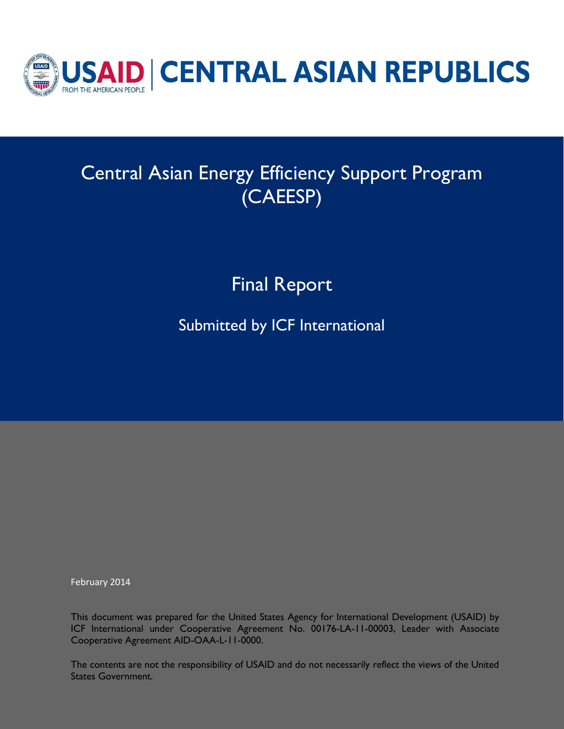

# Central Asian Energy Efficiency Support Program (CAEESP)

Final Report

Submitted by ICF International

February 2014

This document was prepared for the United States Agency for International Development (USAID) by ICF International under Cooperative Agreement No. 00176-LA-11-00003, Leader with Associate Cooperative Agreement AID-OAA-L-11-0000.

The contents are not the responsibility of USAID and do not necessarily reflect the views of the United States Government.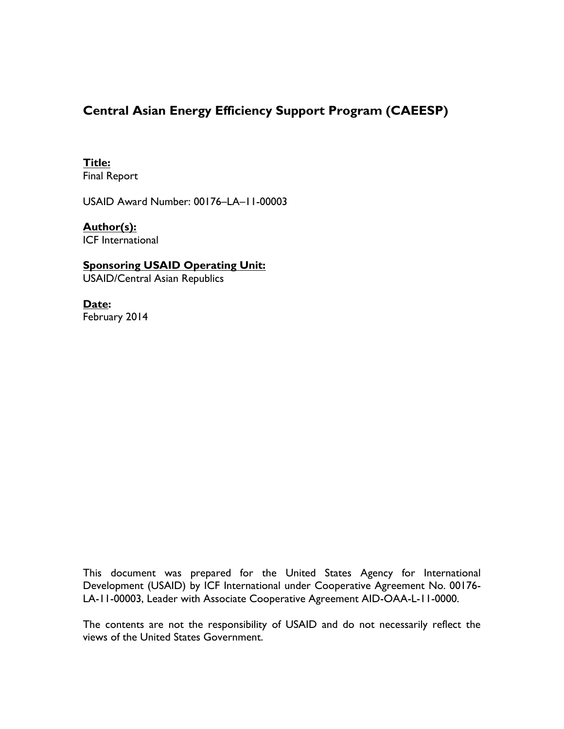### **Central Asian Energy Efficiency Support Program (CAEESP)**

#### **Title:** Final Report

USAID Award Number: 00176–LA–11-00003

#### **Author(s):** ICF International

#### **Sponsoring USAID Operating Unit:** USAID/Central Asian Republics

**Date:** February 2014

This document was prepared for the United States Agency for International Development (USAID) by ICF International under Cooperative Agreement No. 00176- LA-11-00003, Leader with Associate Cooperative Agreement AID-OAA-L-11-0000.

The contents are not the responsibility of USAID and do not necessarily reflect the views of the United States Government.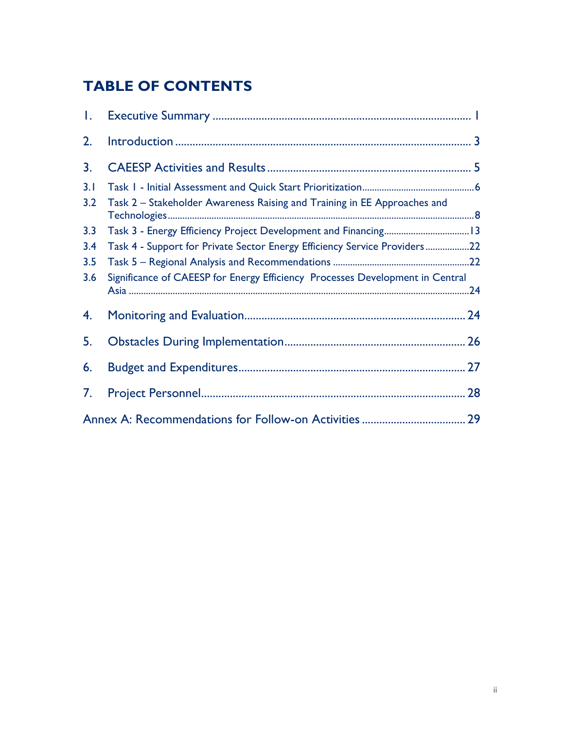## **TABLE OF CONTENTS**

| Ι.  |                                                                               |    |
|-----|-------------------------------------------------------------------------------|----|
| 2.  |                                                                               |    |
| 3.  |                                                                               |    |
| 3.1 |                                                                               |    |
| 3.2 | Task 2 - Stakeholder Awareness Raising and Training in EE Approaches and      |    |
| 3.3 |                                                                               |    |
| 3.4 | Task 4 - Support for Private Sector Energy Efficiency Service Providers22     |    |
| 3.5 |                                                                               |    |
| 3.6 | Significance of CAEESP for Energy Efficiency Processes Development in Central |    |
| 4.  |                                                                               |    |
| 5.  |                                                                               |    |
| 6.  |                                                                               |    |
| 7.  |                                                                               | 28 |
|     |                                                                               |    |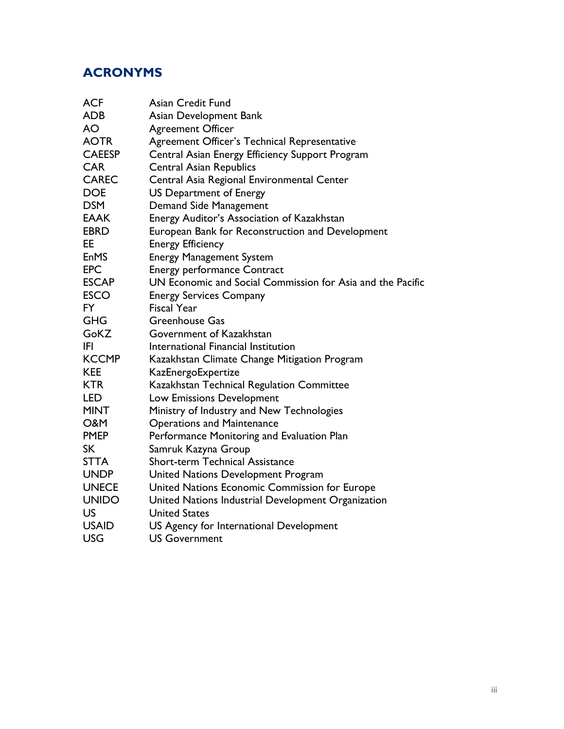## **ACRONYMS**

| <b>ACF</b>     | Asian Credit Fund                                          |
|----------------|------------------------------------------------------------|
| <b>ADB</b>     | Asian Development Bank                                     |
| AO             | <b>Agreement Officer</b>                                   |
| <b>AOTR</b>    | Agreement Officer's Technical Representative               |
| <b>CAEESP</b>  | Central Asian Energy Efficiency Support Program            |
| <b>CAR</b>     | <b>Central Asian Republics</b>                             |
| <b>CAREC</b>   | Central Asia Regional Environmental Center                 |
| <b>DOE</b>     | <b>US Department of Energy</b>                             |
| <b>DSM</b>     | Demand Side Management                                     |
| <b>EAAK</b>    | Energy Auditor's Association of Kazakhstan                 |
| <b>EBRD</b>    | European Bank for Reconstruction and Development           |
| EE             | <b>Energy Efficiency</b>                                   |
| <b>EnMS</b>    | <b>Energy Management System</b>                            |
| <b>EPC</b>     | <b>Energy performance Contract</b>                         |
| <b>ESCAP</b>   | UN Economic and Social Commission for Asia and the Pacific |
| <b>ESCO</b>    | <b>Energy Services Company</b>                             |
| <b>FY</b>      | <b>Fiscal Year</b>                                         |
| <b>GHG</b>     | <b>Greenhouse Gas</b>                                      |
| GoKZ           | Government of Kazakhstan                                   |
| IFI            | International Financial Institution                        |
| <b>KCCMP</b>   | Kazakhstan Climate Change Mitigation Program               |
| <b>KEE</b>     | KazEnergoExpertize                                         |
| <b>KTR</b>     | Kazakhstan Technical Regulation Committee                  |
| LED            | Low Emissions Development                                  |
| <b>MINT</b>    | Ministry of Industry and New Technologies                  |
| <b>O&amp;M</b> | <b>Operations and Maintenance</b>                          |
| <b>PMEP</b>    | Performance Monitoring and Evaluation Plan                 |
| <b>SK</b>      | Samruk Kazyna Group                                        |
| <b>STTA</b>    | <b>Short-term Technical Assistance</b>                     |
| <b>UNDP</b>    | United Nations Development Program                         |
| <b>UNECE</b>   | United Nations Economic Commission for Europe              |
| <b>UNIDO</b>   | United Nations Industrial Development Organization         |
| <b>US</b>      | <b>United States</b>                                       |
| <b>USAID</b>   | US Agency for International Development                    |
| <b>USG</b>     | <b>US Government</b>                                       |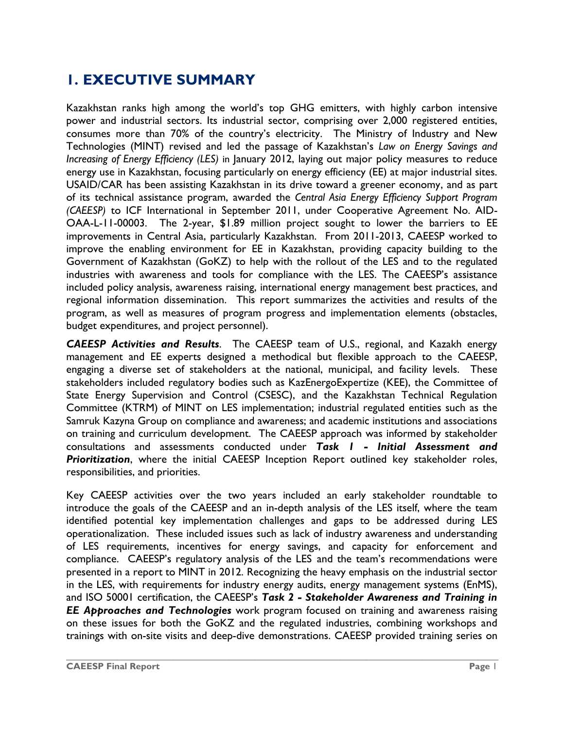## <span id="page-4-0"></span>**1. EXECUTIVE SUMMARY**

Kazakhstan ranks high among the world's top GHG emitters, with highly carbon intensive power and industrial sectors. Its industrial sector, comprising over 2,000 registered entities, consumes more than 70% of the country's electricity. The Ministry of Industry and New Technologies (MINT) revised and led the passage of Kazakhstan's *Law on Energy Savings and Increasing of Energy Efficiency (LES)* in January 2012, laying out major policy measures to reduce energy use in Kazakhstan, focusing particularly on energy efficiency (EE) at major industrial sites. USAID/CAR has been assisting Kazakhstan in its drive toward a greener economy, and as part of its technical assistance program, awarded the *Central Asia Energy Efficiency Support Program (CAEESP)* to ICF International in September 2011, under Cooperative Agreement No. AID-OAA-L-11-00003. The 2-year, \$1.89 million project sought to lower the barriers to EE improvements in Central Asia, particularly Kazakhstan. From 2011-2013, CAEESP worked to improve the enabling environment for EE in Kazakhstan, providing capacity building to the Government of Kazakhstan (GoKZ) to help with the rollout of the LES and to the regulated industries with awareness and tools for compliance with the LES. The CAEESP's assistance included policy analysis, awareness raising, international energy management best practices, and regional information dissemination. This report summarizes the activities and results of the program, as well as measures of program progress and implementation elements (obstacles, budget expenditures, and project personnel).

*CAEESP Activities and Results*. The CAEESP team of U.S., regional, and Kazakh energy management and EE experts designed a methodical but flexible approach to the CAEESP, engaging a diverse set of stakeholders at the national, municipal, and facility levels. These stakeholders included regulatory bodies such as KazEnergoExpertize (KEE), the Committee of State Energy Supervision and Control (CSESC), and the Kazakhstan Technical Regulation Committee (KTRM) of MINT on LES implementation; industrial regulated entities such as the Samruk Kazyna Group on compliance and awareness; and academic institutions and associations on training and curriculum development. The CAEESP approach was informed by stakeholder consultations and assessments conducted under *Task 1 - Initial Assessment and Prioritization*, where the initial CAEESP Inception Report outlined key stakeholder roles, responsibilities, and priorities.

Key CAEESP activities over the two years included an early stakeholder roundtable to introduce the goals of the CAEESP and an in-depth analysis of the LES itself, where the team identified potential key implementation challenges and gaps to be addressed during LES operationalization. These included issues such as lack of industry awareness and understanding of LES requirements, incentives for energy savings, and capacity for enforcement and compliance. CAEESP's regulatory analysis of the LES and the team's recommendations were presented in a report to MINT in 2012. Recognizing the heavy emphasis on the industrial sector in the LES, with requirements for industry energy audits, energy management systems (EnMS), and ISO 50001 certification, the CAEESP's *Task 2 - Stakeholder Awareness and Training in EE Approaches and Technologies* work program focused on training and awareness raising on these issues for both the GoKZ and the regulated industries, combining workshops and trainings with on-site visits and deep-dive demonstrations. CAEESP provided training series on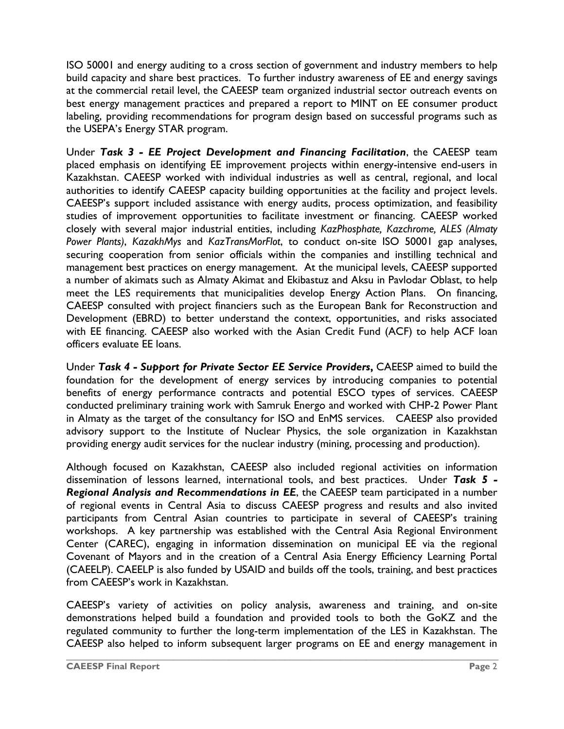ISO 50001 and energy auditing to a cross section of government and industry members to help build capacity and share best practices. To further industry awareness of EE and energy savings at the commercial retail level, the CAEESP team organized industrial sector outreach events on best energy management practices and prepared a report to MINT on EE consumer product labeling, providing recommendations for program design based on successful programs such as the USEPA's Energy STAR program.

Under *Task 3 - EE Project Development and Financing Facilitation*, the CAEESP team placed emphasis on identifying EE improvement projects within energy-intensive end-users in Kazakhstan. CAEESP worked with individual industries as well as central, regional, and local authorities to identify CAEESP capacity building opportunities at the facility and project levels. CAEESP's support included assistance with energy audits, process optimization, and feasibility studies of improvement opportunities to facilitate investment or financing. CAEESP worked closely with several major industrial entities, including *KazPhosphate, Kazchrome, ALES (Almaty Power Plants)*, *KazakhMys* and *KazTransMorFlot*, to conduct on-site ISO 50001 gap analyses, securing cooperation from senior officials within the companies and instilling technical and management best practices on energy management. At the municipal levels, CAEESP supported a number of akimats such as Almaty Akimat and Ekibastuz and Aksu in Pavlodar Oblast, to help meet the LES requirements that municipalities develop Energy Action Plans. On financing, CAEESP consulted with project financiers such as the European Bank for Reconstruction and Development (EBRD) to better understand the context, opportunities, and risks associated with EE financing. CAEESP also worked with the Asian Credit Fund (ACF) to help ACF loan officers evaluate EE loans.

Under *Task 4 - Support for Private Sector EE Service Providers***,** CAEESP aimed to build the foundation for the development of energy services by introducing companies to potential benefits of energy performance contracts and potential ESCO types of services. CAEESP conducted preliminary training work with Samruk Energo and worked with CHP-2 Power Plant in Almaty as the target of the consultancy for ISO and EnMS services. CAEESP also provided advisory support to the Institute of Nuclear Physics, the sole organization in Kazakhstan providing energy audit services for the nuclear industry (mining, processing and production).

Although focused on Kazakhstan, CAEESP also included regional activities on information dissemination of lessons learned, international tools, and best practices. Under *Task 5 - Regional Analysis and Recommendations in EE*, the CAEESP team participated in a number of regional events in Central Asia to discuss CAEESP progress and results and also invited participants from Central Asian countries to participate in several of CAEESP's training workshops. A key partnership was established with the Central Asia Regional Environment Center (CAREC), engaging in information dissemination on municipal EE via the regional Covenant of Mayors and in the creation of a Central Asia Energy Efficiency Learning Portal (CAEELP). CAEELP is also funded by USAID and builds off the tools, training, and best practices from CAEESP's work in Kazakhstan.

CAEESP's variety of activities on policy analysis, awareness and training, and on-site demonstrations helped build a foundation and provided tools to both the GoKZ and the regulated community to further the long-term implementation of the LES in Kazakhstan. The CAEESP also helped to inform subsequent larger programs on EE and energy management in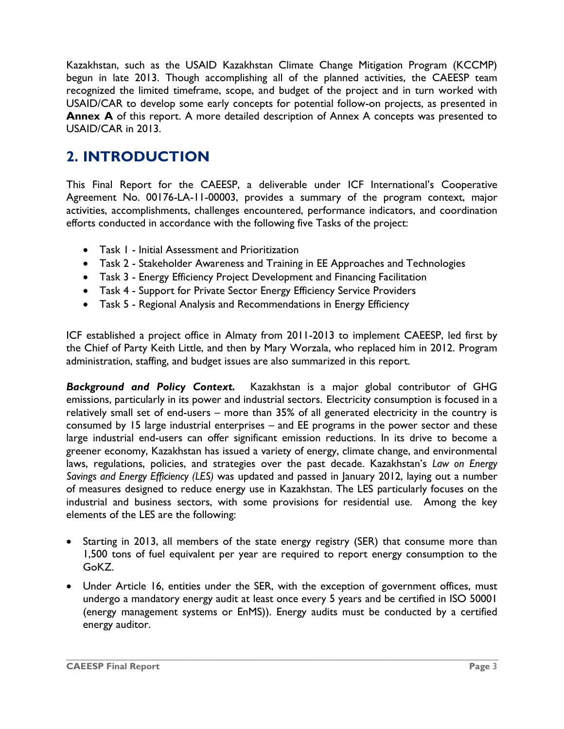Kazakhstan, such as the USAID Kazakhstan Climate Change Mitigation Program (KCCMP) begun in late 2013. Though accomplishing all of the planned activities, the CAEESP team recognized the limited timeframe, scope, and budget of the project and in turn worked with USAID/CAR to develop some early concepts for potential follow-on projects, as presented in Annex A of this report. A more detailed description of Annex A concepts was presented to USAID/CAR in 2013.

## <span id="page-6-0"></span>**2. INTRODUCTION**

This Final Report for the CAEESP, a deliverable under ICF International's Cooperative Agreement No. 00176-LA-11-00003, provides a summary of the program context, major activities, accomplishments, challenges encountered, performance indicators, and coordination efforts conducted in accordance with the following five Tasks of the project:

- Task 1 Initial Assessment and Prioritization
- Task 2 Stakeholder Awareness and Training in EE Approaches and Technologies
- Task 3 Energy Efficiency Project Development and Financing Facilitation
- Task 4 Support for Private Sector Energy Efficiency Service Providers
- Task 5 Regional Analysis and Recommendations in Energy Efficiency

ICF established a project office in Almaty from 2011-2013 to implement CAEESP, led first by the Chief of Party Keith Little, and then by Mary Worzala, who replaced him in 2012. Program administration, staffing, and budget issues are also summarized in this report.

*Background and Policy Context.*Kazakhstan is a major global contributor of GHG emissions, particularly in its power and industrial sectors. Electricity consumption is focused in a relatively small set of end-users – more than 35% of all generated electricity in the country is consumed by 15 large industrial enterprises – and EE programs in the power sector and these large industrial end-users can offer significant emission reductions. In its drive to become a greener economy, Kazakhstan has issued a variety of energy, climate change, and environmental laws, regulations, policies, and strategies over the past decade. Kazakhstan's *Law on Energy Savings and Energy Efficiency (LES)* was updated and passed in January 2012, laying out a number of measures designed to reduce energy use in Kazakhstan. The LES particularly focuses on the industrial and business sectors, with some provisions for residential use. Among the key elements of the LES are the following:

- Starting in 2013, all members of the state energy registry (SER) that consume more than 1,500 tons of fuel equivalent per year are required to report energy consumption to the GoKZ.
- Under Article 16, entities under the SER, with the exception of government offices, must undergo a mandatory energy audit at least once every 5 years and be certified in ISO 50001 (energy management systems or EnMS)). Energy audits must be conducted by a certified energy auditor.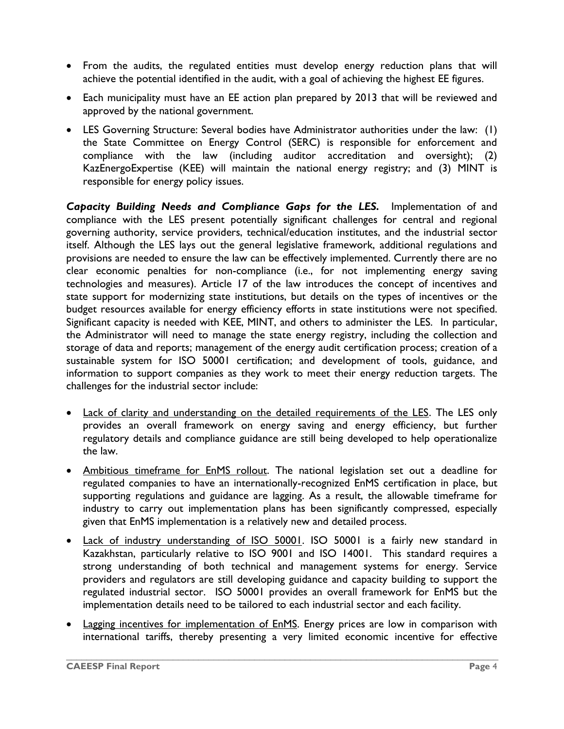- From the audits, the regulated entities must develop energy reduction plans that will achieve the potential identified in the audit, with a goal of achieving the highest EE figures.
- Each municipality must have an EE action plan prepared by 2013 that will be reviewed and approved by the national government.
- LES Governing Structure: Several bodies have Administrator authorities under the law: (1) the State Committee on Energy Control (SERC) is responsible for enforcement and compliance with the law (including auditor accreditation and oversight); (2) KazEnergoExpertise (KEE) will maintain the national energy registry; and (3) MINT is responsible for energy policy issues.

*Capacity Building Needs and Compliance Gaps for the LES.* Implementation of and compliance with the LES present potentially significant challenges for central and regional governing authority, service providers, technical/education institutes, and the industrial sector itself. Although the LES lays out the general legislative framework, additional regulations and provisions are needed to ensure the law can be effectively implemented. Currently there are no clear economic penalties for non-compliance (i.e., for not implementing energy saving technologies and measures). Article 17 of the law introduces the concept of incentives and state support for modernizing state institutions, but details on the types of incentives or the budget resources available for energy efficiency efforts in state institutions were not specified. Significant capacity is needed with KEE, MINT, and others to administer the LES. In particular, the Administrator will need to manage the state energy registry, including the collection and storage of data and reports; management of the energy audit certification process; creation of a sustainable system for ISO 50001 certification; and development of tools, guidance, and information to support companies as they work to meet their energy reduction targets. The challenges for the industrial sector include:

- Lack of clarity and understanding on the detailed requirements of the LES. The LES only provides an overall framework on energy saving and energy efficiency, but further regulatory details and compliance guidance are still being developed to help operationalize the law.
- Ambitious timeframe for EnMS rollout. The national legislation set out a deadline for regulated companies to have an internationally-recognized EnMS certification in place, but supporting regulations and guidance are lagging. As a result, the allowable timeframe for industry to carry out implementation plans has been significantly compressed, especially given that EnMS implementation is a relatively new and detailed process.
- Lack of industry understanding of ISO 50001. ISO 50001 is a fairly new standard in Kazakhstan, particularly relative to ISO 9001 and ISO 14001. This standard requires a strong understanding of both technical and management systems for energy. Service providers and regulators are still developing guidance and capacity building to support the regulated industrial sector. ISO 50001 provides an overall framework for EnMS but the implementation details need to be tailored to each industrial sector and each facility.
- Lagging incentives for implementation of EnMS. Energy prices are low in comparison with international tariffs, thereby presenting a very limited economic incentive for effective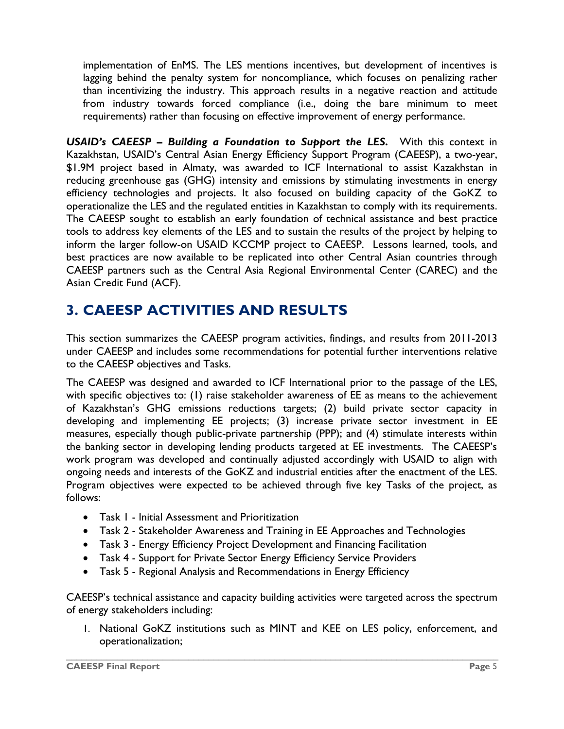implementation of EnMS. The LES mentions incentives, but development of incentives is lagging behind the penalty system for noncompliance, which focuses on penalizing rather than incentivizing the industry. This approach results in a negative reaction and attitude from industry towards forced compliance (i.e., doing the bare minimum to meet requirements) rather than focusing on effective improvement of energy performance.

*USAID's CAEESP – Building a Foundation to Support the LES.* With this context in Kazakhstan, USAID's Central Asian Energy Efficiency Support Program (CAEESP), a two-year, \$1.9M project based in Almaty, was awarded to ICF International to assist Kazakhstan in reducing greenhouse gas (GHG) intensity and emissions by stimulating investments in energy efficiency technologies and projects. It also focused on building capacity of the GoKZ to operationalize the LES and the regulated entities in Kazakhstan to comply with its requirements. The CAEESP sought to establish an early foundation of technical assistance and best practice tools to address key elements of the LES and to sustain the results of the project by helping to inform the larger follow-on USAID KCCMP project to CAEESP. Lessons learned, tools, and best practices are now available to be replicated into other Central Asian countries through CAEESP partners such as the Central Asia Regional Environmental Center (CAREC) and the Asian Credit Fund (ACF).

## <span id="page-8-0"></span>**3. CAEESP ACTIVITIES AND RESULTS**

This section summarizes the CAEESP program activities, findings, and results from 2011-2013 under CAEESP and includes some recommendations for potential further interventions relative to the CAEESP objectives and Tasks.

The CAEESP was designed and awarded to ICF International prior to the passage of the LES, with specific objectives to: (1) raise stakeholder awareness of EE as means to the achievement of Kazakhstan's GHG emissions reductions targets; (2) build private sector capacity in developing and implementing EE projects; (3) increase private sector investment in EE measures, especially though public-private partnership (PPP); and (4) stimulate interests within the banking sector in developing lending products targeted at EE investments. The CAEESP's work program was developed and continually adjusted accordingly with USAID to align with ongoing needs and interests of the GoKZ and industrial entities after the enactment of the LES. Program objectives were expected to be achieved through five key Tasks of the project, as follows:

- Task 1 Initial Assessment and Prioritization
- Task 2 Stakeholder Awareness and Training in EE Approaches and Technologies
- Task 3 Energy Efficiency Project Development and Financing Facilitation
- Task 4 Support for Private Sector Energy Efficiency Service Providers
- Task 5 Regional Analysis and Recommendations in Energy Efficiency

CAEESP's technical assistance and capacity building activities were targeted across the spectrum of energy stakeholders including:

 $\_$  ,  $\_$  ,  $\_$  ,  $\_$  ,  $\_$  ,  $\_$  ,  $\_$  ,  $\_$  ,  $\_$  ,  $\_$  ,  $\_$  ,  $\_$  ,  $\_$  ,  $\_$  ,  $\_$  ,  $\_$  ,  $\_$  ,  $\_$  ,  $\_$  ,  $\_$  ,  $\_$  ,  $\_$  ,  $\_$  ,  $\_$  ,  $\_$  ,  $\_$  ,  $\_$  ,  $\_$  ,  $\_$  ,  $\_$  ,  $\_$  ,  $\_$  ,  $\_$  ,  $\_$  ,  $\_$  ,  $\_$  ,  $\_$  ,

1. National GoKZ institutions such as MINT and KEE on LES policy, enforcement, and operationalization;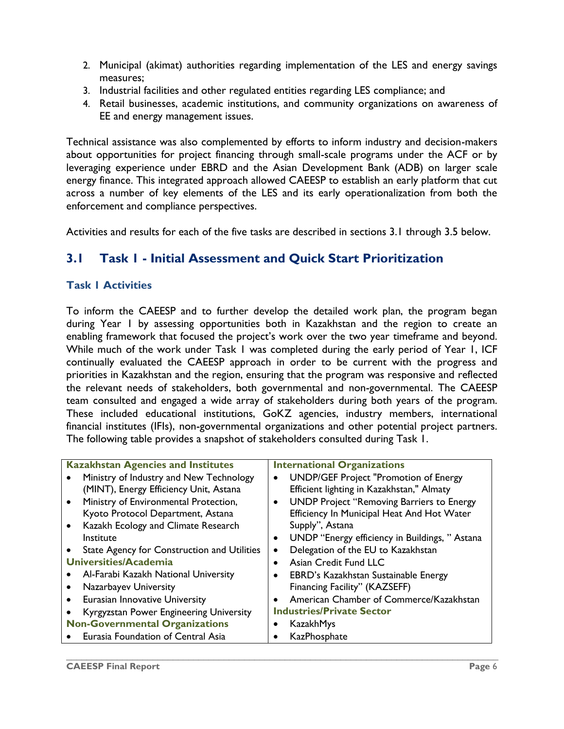- 2. Municipal (akimat) authorities regarding implementation of the LES and energy savings measures;
- 3. Industrial facilities and other regulated entities regarding LES compliance; and
- 4. Retail businesses, academic institutions, and community organizations on awareness of EE and energy management issues.

Technical assistance was also complemented by efforts to inform industry and decision-makers about opportunities for project financing through small-scale programs under the ACF or by leveraging experience under EBRD and the Asian Development Bank (ADB) on larger scale energy finance. This integrated approach allowed CAEESP to establish an early platform that cut across a number of key elements of the LES and its early operationalization from both the enforcement and compliance perspectives.

Activities and results for each of the five tasks are described in sections 3.1 through 3.5 below.

## <span id="page-9-0"></span>**3.1 Task 1 - Initial Assessment and Quick Start Prioritization**

#### **Task 1 Activities**

To inform the CAEESP and to further develop the detailed work plan, the program began during Year 1 by assessing opportunities both in Kazakhstan and the region to create an enabling framework that focused the project's work over the two year timeframe and beyond. While much of the work under Task I was completed during the early period of Year I, ICF continually evaluated the CAEESP approach in order to be current with the progress and priorities in Kazakhstan and the region, ensuring that the program was responsive and reflected the relevant needs of stakeholders, both governmental and non-governmental. The CAEESP team consulted and engaged a wide array of stakeholders during both years of the program. These included educational institutions, GoKZ agencies, industry members, international financial institutes (IFIs), non-governmental organizations and other potential project partners. The following table provides a snapshot of stakeholders consulted during Task 1.

| <b>Kazakhstan Agencies and Institutes</b>          | <b>International Organizations</b>               |  |  |
|----------------------------------------------------|--------------------------------------------------|--|--|
| Ministry of Industry and New Technology            | <b>UNDP/GEF Project "Promotion of Energy</b>     |  |  |
| (MINT), Energy Efficiency Unit, Astana             | Efficient lighting in Kazakhstan," Almaty        |  |  |
| Ministry of Environmental Protection,<br>$\bullet$ | <b>UNDP Project "Removing Barriers to Energy</b> |  |  |
| Kyoto Protocol Department, Astana                  | Efficiency In Municipal Heat And Hot Water       |  |  |
| Kazakh Ecology and Climate Research<br>$\bullet$   | Supply", Astana                                  |  |  |
| Institute                                          | UNDP "Energy efficiency in Buildings, "Astana    |  |  |
| State Agency for Construction and Utilities        | Delegation of the EU to Kazakhstan               |  |  |
| Universities/Academia                              | Asian Credit Fund LLC                            |  |  |
| Al-Farabi Kazakh National University               | EBRD's Kazakhstan Sustainable Energy             |  |  |
| Nazarbayev University                              | Financing Facility" (KAZSEFF)                    |  |  |
| <b>Eurasian Innovative University</b><br>$\bullet$ | American Chamber of Commerce/Kazakhstan          |  |  |
| Kyrgyzstan Power Engineering University            | <b>Industries/Private Sector</b>                 |  |  |
| <b>Non-Governmental Organizations</b>              | KazakhMys                                        |  |  |
| Eurasia Foundation of Central Asia                 | KazPhosphate                                     |  |  |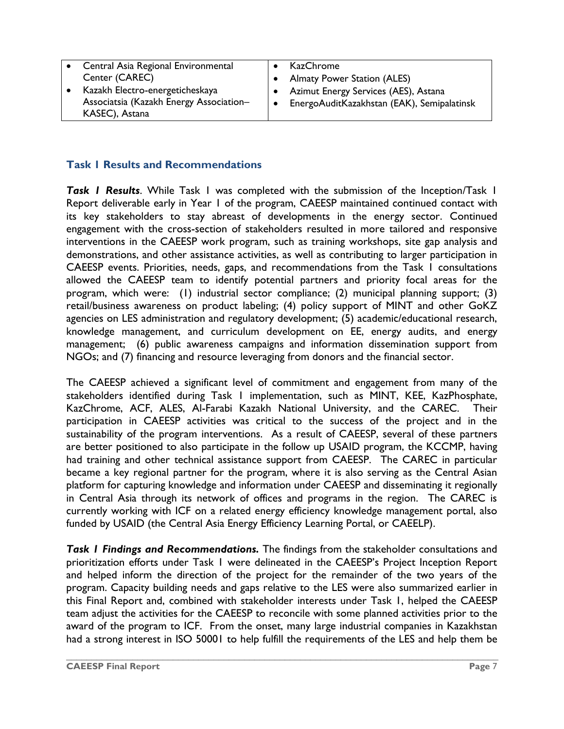| Central Asia Regional Environmental<br>Center (CAREC)<br>Kazakh Electro-energeticheskaya<br>$\bullet$<br>Associatsia (Kazakh Energy Association-<br>$\bullet$<br>KASEC), Astana | KazChrome<br><b>Almaty Power Station (ALES)</b><br>Azimut Energy Services (AES), Astana<br>EnergoAuditKazakhstan (EAK), Semipalatinsk |
|---------------------------------------------------------------------------------------------------------------------------------------------------------------------------------|---------------------------------------------------------------------------------------------------------------------------------------|
|---------------------------------------------------------------------------------------------------------------------------------------------------------------------------------|---------------------------------------------------------------------------------------------------------------------------------------|

#### **Task 1 Results and Recommendations**

*Task 1 Results*. While Task 1 was completed with the submission of the Inception/Task 1 Report deliverable early in Year 1 of the program, CAEESP maintained continued contact with its key stakeholders to stay abreast of developments in the energy sector. Continued engagement with the cross-section of stakeholders resulted in more tailored and responsive interventions in the CAEESP work program, such as training workshops, site gap analysis and demonstrations, and other assistance activities, as well as contributing to larger participation in CAEESP events. Priorities, needs, gaps, and recommendations from the Task 1 consultations allowed the CAEESP team to identify potential partners and priority focal areas for the program, which were: (1) industrial sector compliance; (2) municipal planning support; (3) retail/business awareness on product labeling; (4) policy support of MINT and other GoKZ agencies on LES administration and regulatory development; (5) academic/educational research, knowledge management, and curriculum development on EE, energy audits, and energy management; (6) public awareness campaigns and information dissemination support from NGOs; and (7) financing and resource leveraging from donors and the financial sector.

The CAEESP achieved a significant level of commitment and engagement from many of the stakeholders identified during Task 1 implementation, such as MINT, KEE, KazPhosphate, KazChrome, ACF, ALES, Al-Farabi Kazakh National University, and the CAREC. Their participation in CAEESP activities was critical to the success of the project and in the sustainability of the program interventions. As a result of CAEESP, several of these partners are better positioned to also participate in the follow up USAID program, the KCCMP, having had training and other technical assistance support from CAEESP. The CAREC in particular became a key regional partner for the program, where it is also serving as the Central Asian platform for capturing knowledge and information under CAEESP and disseminating it regionally in Central Asia through its network of offices and programs in the region. The CAREC is currently working with ICF on a related energy efficiency knowledge management portal, also funded by USAID (the Central Asia Energy Efficiency Learning Portal, or CAEELP).

*Task 1 Findings and Recommendations.* The findings from the stakeholder consultations and prioritization efforts under Task 1 were delineated in the CAEESP's Project Inception Report and helped inform the direction of the project for the remainder of the two years of the program. Capacity building needs and gaps relative to the LES were also summarized earlier in this Final Report and, combined with stakeholder interests under Task 1, helped the CAEESP team adjust the activities for the CAEESP to reconcile with some planned activities prior to the award of the program to ICF. From the onset, many large industrial companies in Kazakhstan had a strong interest in ISO 50001 to help fulfill the requirements of the LES and help them be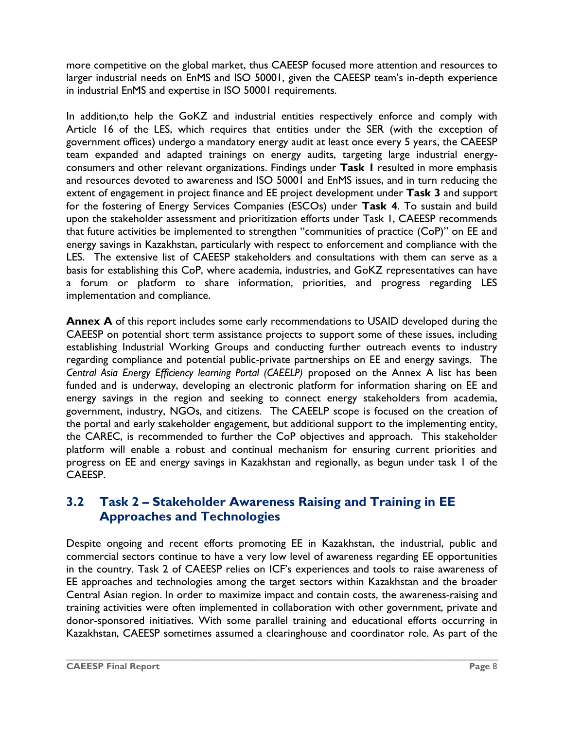more competitive on the global market, thus CAEESP focused more attention and resources to larger industrial needs on EnMS and ISO 50001, given the CAEESP team's in-depth experience in industrial EnMS and expertise in ISO 50001 requirements.

In addition,to help the GoKZ and industrial entities respectively enforce and comply with Article 16 of the LES, which requires that entities under the SER (with the exception of government offices) undergo a mandatory energy audit at least once every 5 years, the CAEESP team expanded and adapted trainings on energy audits, targeting large industrial energyconsumers and other relevant organizations. Findings under **Task 1** resulted in more emphasis and resources devoted to awareness and ISO 50001 and EnMS issues, and in turn reducing the extent of engagement in project finance and EE project development under **Task 3** and support for the fostering of Energy Services Companies (ESCOs) under **Task 4**. To sustain and build upon the stakeholder assessment and prioritization efforts under Task 1, CAEESP recommends that future activities be implemented to strengthen "communities of practice (CoP)" on EE and energy savings in Kazakhstan, particularly with respect to enforcement and compliance with the LES. The extensive list of CAEESP stakeholders and consultations with them can serve as a basis for establishing this CoP, where academia, industries, and GoKZ representatives can have a forum or platform to share information, priorities, and progress regarding LES implementation and compliance.

**Annex A** of this report includes some early recommendations to USAID developed during the CAEESP on potential short term assistance projects to support some of these issues, including establishing Industrial Working Groups and conducting further outreach events to industry regarding compliance and potential public-private partnerships on EE and energy savings. The *Central Asia Energy Efficiency learning Portal (CAEELP)* proposed on the Annex A list has been funded and is underway, developing an electronic platform for information sharing on EE and energy savings in the region and seeking to connect energy stakeholders from academia, government, industry, NGOs, and citizens. The CAEELP scope is focused on the creation of the portal and early stakeholder engagement, but additional support to the implementing entity, the CAREC, is recommended to further the CoP objectives and approach. This stakeholder platform will enable a robust and continual mechanism for ensuring current priorities and progress on EE and energy savings in Kazakhstan and regionally, as begun under task 1 of the CAEESP.

### <span id="page-11-0"></span>**3.2 Task 2 – Stakeholder Awareness Raising and Training in EE Approaches and Technologies**

Despite ongoing and recent efforts promoting EE in Kazakhstan, the industrial, public and commercial sectors continue to have a very low level of awareness regarding EE opportunities in the country. Task 2 of CAEESP relies on ICF's experiences and tools to raise awareness of EE approaches and technologies among the target sectors within Kazakhstan and the broader Central Asian region. In order to maximize impact and contain costs, the awareness-raising and training activities were often implemented in collaboration with other government, private and donor-sponsored initiatives. With some parallel training and educational efforts occurring in Kazakhstan, CAEESP sometimes assumed a clearinghouse and coordinator role. As part of the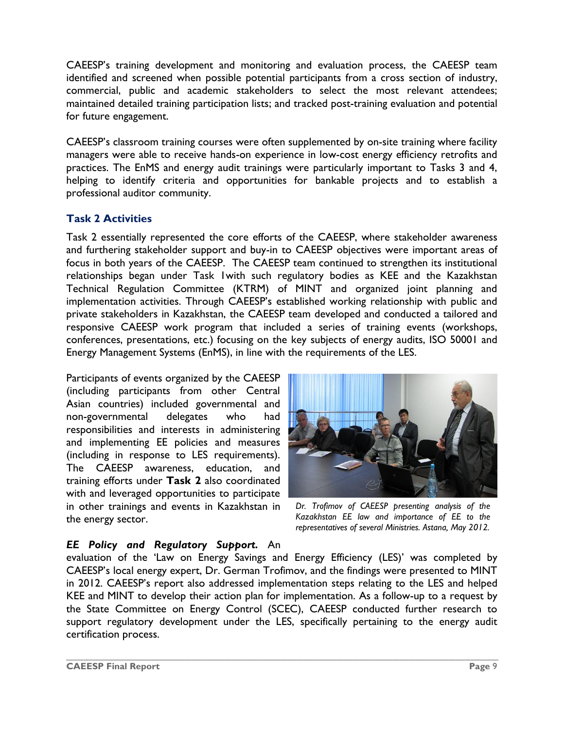CAEESP's training development and monitoring and evaluation process, the CAEESP team identified and screened when possible potential participants from a cross section of industry, commercial, public and academic stakeholders to select the most relevant attendees; maintained detailed training participation lists; and tracked post-training evaluation and potential for future engagement.

CAEESP's classroom training courses were often supplemented by on-site training where facility managers were able to receive hands-on experience in low-cost energy efficiency retrofits and practices. The EnMS and energy audit trainings were particularly important to Tasks 3 and 4, helping to identify criteria and opportunities for bankable projects and to establish a professional auditor community.

#### **Task 2 Activities**

Task 2 essentially represented the core efforts of the CAEESP, where stakeholder awareness and furthering stakeholder support and buy-in to CAEESP objectives were important areas of focus in both years of the CAEESP. The CAEESP team continued to strengthen its institutional relationships began under Task 1with such regulatory bodies as KEE and the Kazakhstan Technical Regulation Committee (KTRM) of MINT and organized joint planning and implementation activities. Through CAEESP's established working relationship with public and private stakeholders in Kazakhstan, the CAEESP team developed and conducted a tailored and responsive CAEESP work program that included a series of training events (workshops, conferences, presentations, etc.) focusing on the key subjects of energy audits, ISO 50001 and Energy Management Systems (EnMS), in line with the requirements of the LES.

Participants of events organized by the CAEESP (including participants from other Central Asian countries) included governmental and non-governmental delegates who had responsibilities and interests in administering and implementing EE policies and measures (including in response to LES requirements). The CAEESP awareness, education, and training efforts under **Task 2** also coordinated with and leveraged opportunities to participate in other trainings and events in Kazakhstan in the energy sector.



*Dr. Trofimov of CAEESP presenting analysis of the Kazakhstan EE law and importance of EE to the representatives of several Ministries. Astana, May 2012.*

#### *EE Policy and Regulatory Support.* An

evaluation of the 'Law on Energy Savings and Energy Efficiency (LES)' was completed by CAEESP's local energy expert, Dr. German Trofimov, and the findings were presented to MINT in 2012. CAEESP's report also addressed implementation steps relating to the LES and helped KEE and MINT to develop their action plan for implementation. As a follow-up to a request by the State Committee on Energy Control (SCEC), CAEESP conducted further research to support regulatory development under the LES, specifically pertaining to the energy audit certification process.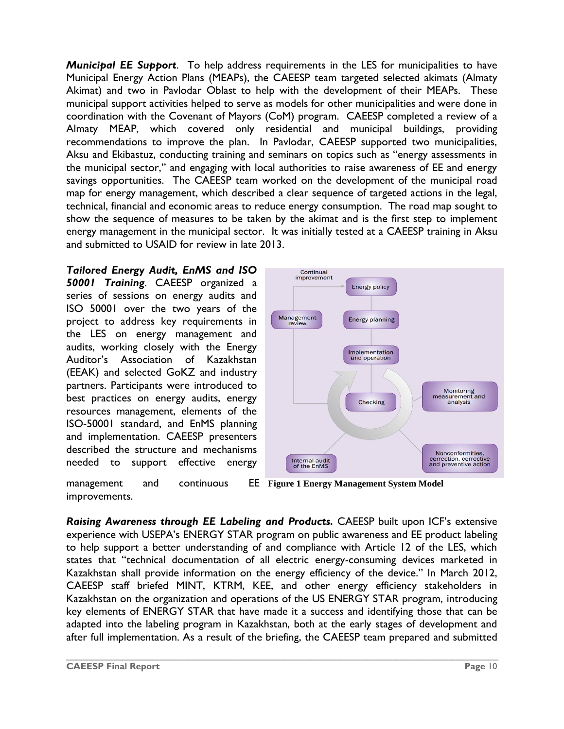*Municipal EE Support*. To help address requirements in the LES for municipalities to have Municipal Energy Action Plans (MEAPs), the CAEESP team targeted selected akimats (Almaty Akimat) and two in Pavlodar Oblast to help with the development of their MEAPs. These municipal support activities helped to serve as models for other municipalities and were done in coordination with the Covenant of Mayors (CoM) program. CAEESP completed a review of a Almaty MEAP, which covered only residential and municipal buildings, providing recommendations to improve the plan. In Pavlodar, CAEESP supported two municipalities, Aksu and Ekibastuz, conducting training and seminars on topics such as "energy assessments in the municipal sector," and engaging with local authorities to raise awareness of EE and energy savings opportunities. The CAEESP team worked on the development of the municipal road map for energy management, which described a clear sequence of targeted actions in the legal, technical, financial and economic areas to reduce energy consumption. The road map sought to show the sequence of measures to be taken by the akimat and is the first step to implement energy management in the municipal sector. It was initially tested at a CAEESP training in Aksu and submitted to USAID for review in late 2013.

#### *Tailored Energy Audit, EnMS and ISO*

*50001 Training*. CAEESP organized a series of sessions on energy audits and ISO 50001 over the two years of the project to address key requirements in the LES on energy management and audits, working closely with the Energy Auditor's Association of Kazakhstan (EEAK) and selected GoKZ and industry partners. Participants were introduced to best practices on energy audits, energy resources management, elements of the ISO-50001 standard, and EnMS planning and implementation. CAEESP presenters described the structure and mechanisms needed to support effective energy



**Figure 1 Energy Management System Model** management and continuous improvements.

*Raising Awareness through EE Labeling and Products.* CAEESP built upon ICF's extensive experience with USEPA's ENERGY STAR program on public awareness and EE product labeling to help support a better understanding of and compliance with Article 12 of the LES, which states that "technical documentation of all electric energy-consuming devices marketed in Kazakhstan shall provide information on the energy efficiency of the device." In March 2012, CAEESP staff briefed MINT, KTRM, KEE, and other energy efficiency stakeholders in Kazakhstan on the organization and operations of the US ENERGY STAR program, introducing key elements of ENERGY STAR that have made it a success and identifying those that can be adapted into the labeling program in Kazakhstan, both at the early stages of development and after full implementation. As a result of the briefing, the CAEESP team prepared and submitted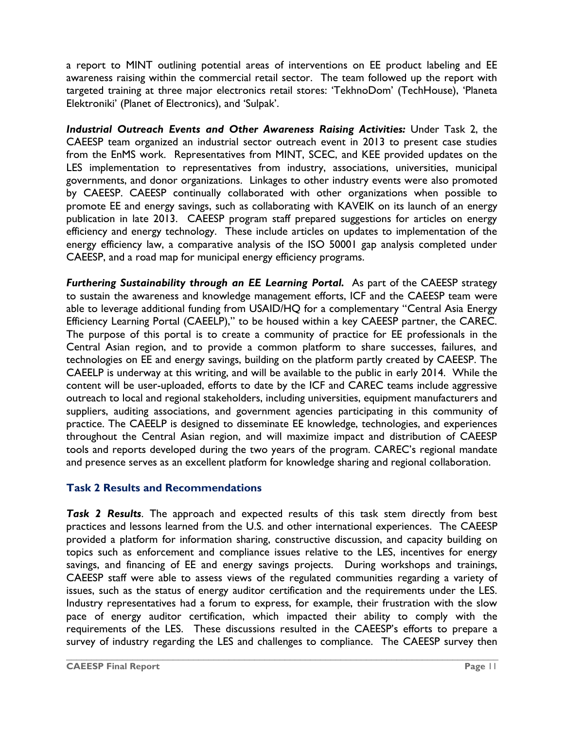a report to MINT outlining potential areas of interventions on EE product labeling and EE awareness raising within the commercial retail sector. The team followed up the report with targeted training at three major electronics retail stores: 'TekhnoDom' (TechHouse), 'Planeta Elektroniki' (Planet of Electronics), and 'Sulpak'.

*Industrial Outreach Events and Other Awareness Raising Activities:* Under Task 2, the CAEESP team organized an industrial sector outreach event in 2013 to present case studies from the EnMS work. Representatives from MINT, SCEC, and KEE provided updates on the LES implementation to representatives from industry, associations, universities, municipal governments, and donor organizations. Linkages to other industry events were also promoted by CAEESP. CAEESP continually collaborated with other organizations when possible to promote EE and energy savings, such as collaborating with KAVEIK on its launch of an energy publication in late 2013. CAEESP program staff prepared suggestions for articles on energy efficiency and energy technology. These include articles on updates to implementation of the energy efficiency law, a comparative analysis of the ISO 50001 gap analysis completed under CAEESP, and a road map for municipal energy efficiency programs.

*Furthering Sustainability through an EE Learning Portal.* As part of the CAEESP strategy to sustain the awareness and knowledge management efforts, ICF and the CAEESP team were able to leverage additional funding from USAID/HQ for a complementary "Central Asia Energy Efficiency Learning Portal (CAEELP)," to be housed within a key CAEESP partner, the CAREC. The purpose of this portal is to create a community of practice for EE professionals in the Central Asian region, and to provide a common platform to share successes, failures, and technologies on EE and energy savings, building on the platform partly created by CAEESP. The CAEELP is underway at this writing, and will be available to the public in early 2014. While the content will be user-uploaded, efforts to date by the ICF and CAREC teams include aggressive outreach to local and regional stakeholders, including universities, equipment manufacturers and suppliers, auditing associations, and government agencies participating in this community of practice. The CAEELP is designed to disseminate EE knowledge, technologies, and experiences throughout the Central Asian region, and will maximize impact and distribution of CAEESP tools and reports developed during the two years of the program. CAREC's regional mandate and presence serves as an excellent platform for knowledge sharing and regional collaboration.

#### **Task 2 Results and Recommendations**

*Task 2 Results*. The approach and expected results of this task stem directly from best practices and lessons learned from the U.S. and other international experiences. The CAEESP provided a platform for information sharing, constructive discussion, and capacity building on topics such as enforcement and compliance issues relative to the LES, incentives for energy savings, and financing of EE and energy savings projects. During workshops and trainings, CAEESP staff were able to assess views of the regulated communities regarding a variety of issues, such as the status of energy auditor certification and the requirements under the LES. Industry representatives had a forum to express, for example, their frustration with the slow pace of energy auditor certification, which impacted their ability to comply with the requirements of the LES. These discussions resulted in the CAEESP's efforts to prepare a survey of industry regarding the LES and challenges to compliance. The CAEESP survey then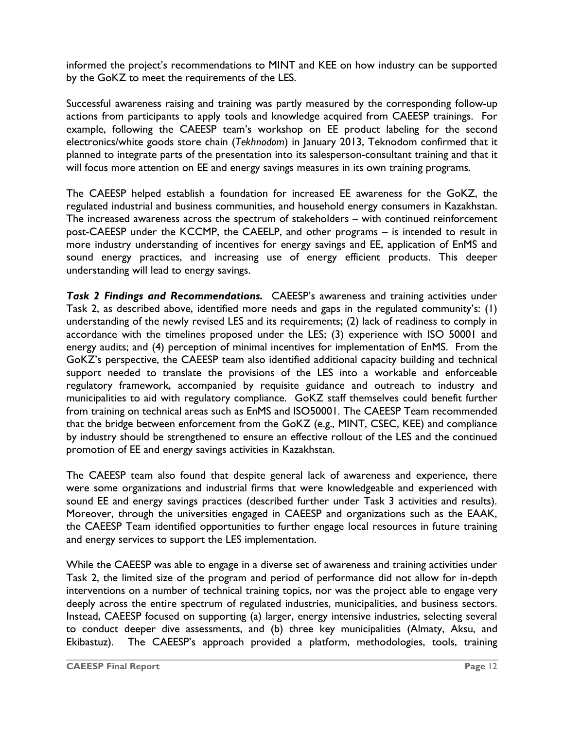informed the project's recommendations to MINT and KEE on how industry can be supported by the GoKZ to meet the requirements of the LES.

Successful awareness raising and training was partly measured by the corresponding follow-up actions from participants to apply tools and knowledge acquired from CAEESP trainings. For example, following the CAEESP team's workshop on EE product labeling for the second electronics/white goods store chain (*Tekhnodom*) in January 2013, Teknodom confirmed that it planned to integrate parts of the presentation into its salesperson-consultant training and that it will focus more attention on EE and energy savings measures in its own training programs.

The CAEESP helped establish a foundation for increased EE awareness for the GoKZ, the regulated industrial and business communities, and household energy consumers in Kazakhstan. The increased awareness across the spectrum of stakeholders – with continued reinforcement post-CAEESP under the KCCMP, the CAEELP, and other programs – is intended to result in more industry understanding of incentives for energy savings and EE, application of EnMS and sound energy practices, and increasing use of energy efficient products. This deeper understanding will lead to energy savings.

*Task 2 Findings and Recommendations.* CAEESP's awareness and training activities under Task 2, as described above, identified more needs and gaps in the regulated community's: (1) understanding of the newly revised LES and its requirements; (2) lack of readiness to comply in accordance with the timelines proposed under the LES; (3) experience with ISO 50001 and energy audits; and (4) perception of minimal incentives for implementation of EnMS. From the GoKZ's perspective, the CAEESP team also identified additional capacity building and technical support needed to translate the provisions of the LES into a workable and enforceable regulatory framework, accompanied by requisite guidance and outreach to industry and municipalities to aid with regulatory compliance. GoKZ staff themselves could benefit further from training on technical areas such as EnMS and ISO50001. The CAEESP Team recommended that the bridge between enforcement from the GoKZ (e.g., MINT, CSEC, KEE) and compliance by industry should be strengthened to ensure an effective rollout of the LES and the continued promotion of EE and energy savings activities in Kazakhstan.

The CAEESP team also found that despite general lack of awareness and experience, there were some organizations and industrial firms that were knowledgeable and experienced with sound EE and energy savings practices (described further under Task 3 activities and results). Moreover, through the universities engaged in CAEESP and organizations such as the EAAK, the CAEESP Team identified opportunities to further engage local resources in future training and energy services to support the LES implementation.

While the CAEESP was able to engage in a diverse set of awareness and training activities under Task 2, the limited size of the program and period of performance did not allow for in-depth interventions on a number of technical training topics, nor was the project able to engage very deeply across the entire spectrum of regulated industries, municipalities, and business sectors. Instead, CAEESP focused on supporting (a) larger, energy intensive industries, selecting several to conduct deeper dive assessments, and (b) three key municipalities (Almaty, Aksu, and Ekibastuz). The CAEESP's approach provided a platform, methodologies, tools, training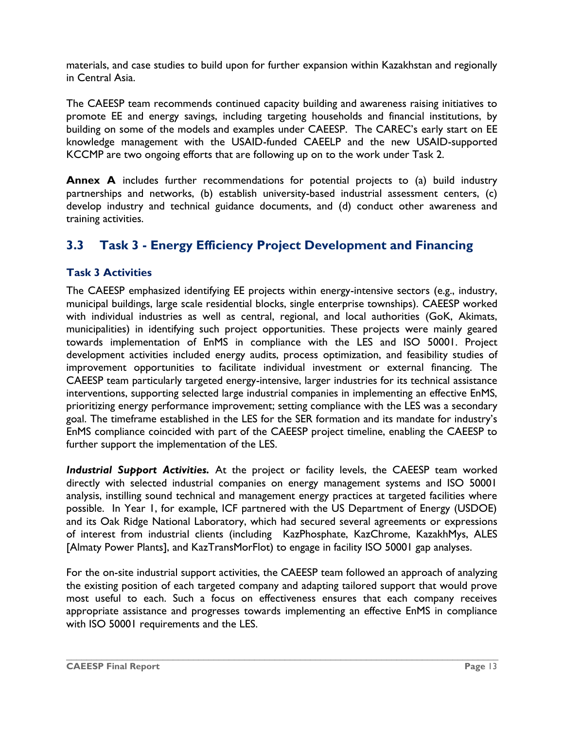materials, and case studies to build upon for further expansion within Kazakhstan and regionally in Central Asia.

The CAEESP team recommends continued capacity building and awareness raising initiatives to promote EE and energy savings, including targeting households and financial institutions, by building on some of the models and examples under CAEESP. The CAREC's early start on EE knowledge management with the USAID-funded CAEELP and the new USAID-supported KCCMP are two ongoing efforts that are following up on to the work under Task 2.

**Annex A** includes further recommendations for potential projects to (a) build industry partnerships and networks, (b) establish university-based industrial assessment centers, (c) develop industry and technical guidance documents, and (d) conduct other awareness and training activities.

## <span id="page-16-0"></span>**3.3 Task 3 - Energy Efficiency Project Development and Financing**

#### **Task 3 Activities**

The CAEESP emphasized identifying EE projects within energy-intensive sectors (e.g., industry, municipal buildings, large scale residential blocks, single enterprise townships). CAEESP worked with individual industries as well as central, regional, and local authorities (GoK, Akimats, municipalities) in identifying such project opportunities. These projects were mainly geared towards implementation of EnMS in compliance with the LES and ISO 50001. Project development activities included energy audits, process optimization, and feasibility studies of improvement opportunities to facilitate individual investment or external financing. The CAEESP team particularly targeted energy-intensive, larger industries for its technical assistance interventions, supporting selected large industrial companies in implementing an effective EnMS, prioritizing energy performance improvement; setting compliance with the LES was a secondary goal. The timeframe established in the LES for the SER formation and its mandate for industry's EnMS compliance coincided with part of the CAEESP project timeline, enabling the CAEESP to further support the implementation of the LES.

*Industrial Support Activities.* At the project or facility levels, the CAEESP team worked directly with selected industrial companies on energy management systems and ISO 50001 analysis, instilling sound technical and management energy practices at targeted facilities where possible. In Year 1, for example, ICF partnered with the US Department of Energy (USDOE) and its Oak Ridge National Laboratory, which had secured several agreements or expressions of interest from industrial clients (including KazPhosphate, KazChrome, KazakhMys, ALES [Almaty Power Plants], and KazTransMorFlot) to engage in facility ISO 50001 gap analyses.

For the on-site industrial support activities, the CAEESP team followed an approach of analyzing the existing position of each targeted company and adapting tailored support that would prove most useful to each. Such a focus on effectiveness ensures that each company receives appropriate assistance and progresses towards implementing an effective EnMS in compliance with ISO 50001 requirements and the LES.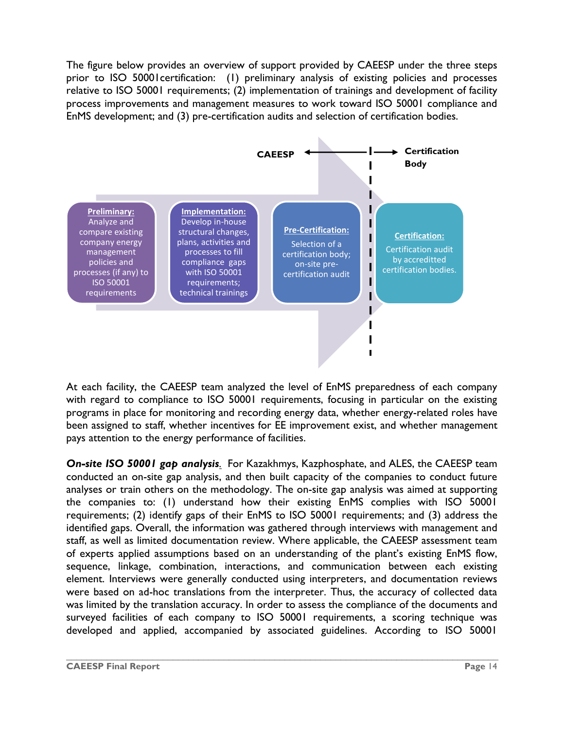The figure below provides an overview of support provided by CAEESP under the three steps prior to ISO 50001certification: (1) preliminary analysis of existing policies and processes relative to ISO 50001 requirements; (2) implementation of trainings and development of facility process improvements and management measures to work toward ISO 50001 compliance and EnMS development; and (3) pre-certification audits and selection of certification bodies.



At each facility, the CAEESP team analyzed the level of EnMS preparedness of each company with regard to compliance to ISO 50001 requirements, focusing in particular on the existing programs in place for monitoring and recording energy data, whether energy-related roles have been assigned to staff, whether incentives for EE improvement exist, and whether management pays attention to the energy performance of facilities.

*On-site ISO 50001 gap analysis.* For Kazakhmys, Kazphosphate, and ALES, the CAEESP team conducted an on-site gap analysis, and then built capacity of the companies to conduct future analyses or train others on the methodology. The on-site gap analysis was aimed at supporting the companies to: (1) understand how their existing EnMS complies with ISO 50001 requirements; (2) identify gaps of their EnMS to ISO 50001 requirements; and (3) address the identified gaps. Overall, the information was gathered through interviews with management and staff, as well as limited documentation review. Where applicable, the CAEESP assessment team of experts applied assumptions based on an understanding of the plant's existing EnMS flow, sequence, linkage, combination, interactions, and communication between each existing element. Interviews were generally conducted using interpreters, and documentation reviews were based on ad-hoc translations from the interpreter. Thus, the accuracy of collected data was limited by the translation accuracy. In order to assess the compliance of the documents and surveyed facilities of each company to ISO 50001 requirements, a scoring technique was developed and applied, accompanied by associated guidelines. According to ISO 50001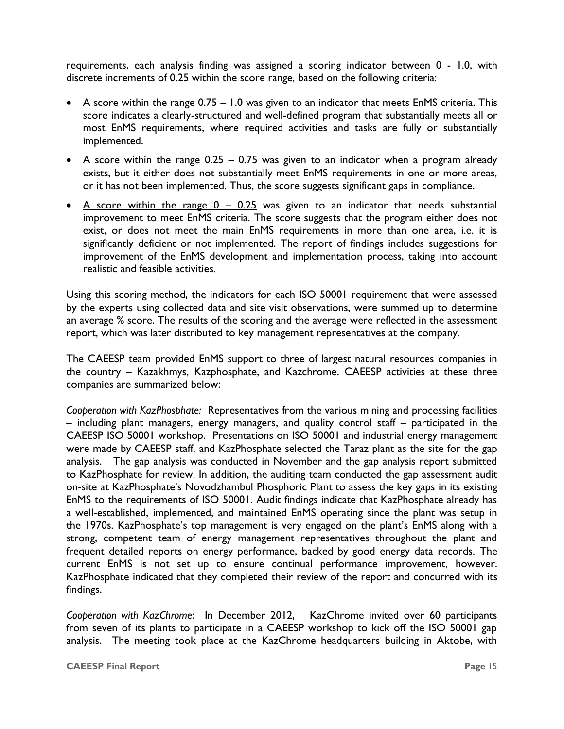requirements, each analysis finding was assigned a scoring indicator between 0 - 1.0, with discrete increments of 0.25 within the score range, based on the following criteria:

- $\bullet$  A score within the range  $0.75 1.0$  was given to an indicator that meets EnMS criteria. This score indicates a clearly-structured and well-defined program that substantially meets all or most EnMS requirements, where required activities and tasks are fully or substantially implemented.
- A score within the range  $0.25 0.75$  was given to an indicator when a program already exists, but it either does not substantially meet EnMS requirements in one or more areas, or it has not been implemented. Thus, the score suggests significant gaps in compliance.
- A score within the range  $0 0.25$  was given to an indicator that needs substantial improvement to meet EnMS criteria. The score suggests that the program either does not exist, or does not meet the main EnMS requirements in more than one area, i.e. it is significantly deficient or not implemented. The report of findings includes suggestions for improvement of the EnMS development and implementation process, taking into account realistic and feasible activities.

Using this scoring method, the indicators for each ISO 50001 requirement that were assessed by the experts using collected data and site visit observations, were summed up to determine an average % score. The results of the scoring and the average were reflected in the assessment report, which was later distributed to key management representatives at the company.

The CAEESP team provided EnMS support to three of largest natural resources companies in the country – Kazakhmys, Kazphosphate, and Kazchrome. CAEESP activities at these three companies are summarized below:

*Cooperation with KazPhosphate:* Representatives from the various mining and processing facilities – including plant managers, energy managers, and quality control staff – participated in the CAEESP ISO 50001 workshop. Presentations on ISO 50001 and industrial energy management were made by CAEESP staff, and KazPhosphate selected the Taraz plant as the site for the gap analysis. The gap analysis was conducted in November and the gap analysis report submitted to KazPhosphate for review. In addition, the auditing team conducted the gap assessment audit on-site at KazPhosphate's Novodzhambul Phosphoric Plant to assess the key gaps in its existing EnMS to the requirements of ISO 50001. Audit findings indicate that KazPhosphate already has a well-established, implemented, and maintained EnMS operating since the plant was setup in the 1970s. KazPhosphate's top management is very engaged on the plant's EnMS along with a strong, competent team of energy management representatives throughout the plant and frequent detailed reports on energy performance, backed by good energy data records. The current EnMS is not set up to ensure continual performance improvement, however. KazPhosphate indicated that they completed their review of the report and concurred with its findings.

*Cooperation with KazChrome*: In December 2012, KazChrome invited over 60 participants from seven of its plants to participate in a CAEESP workshop to kick off the ISO 50001 gap analysis. The meeting took place at the KazChrome headquarters building in Aktobe, with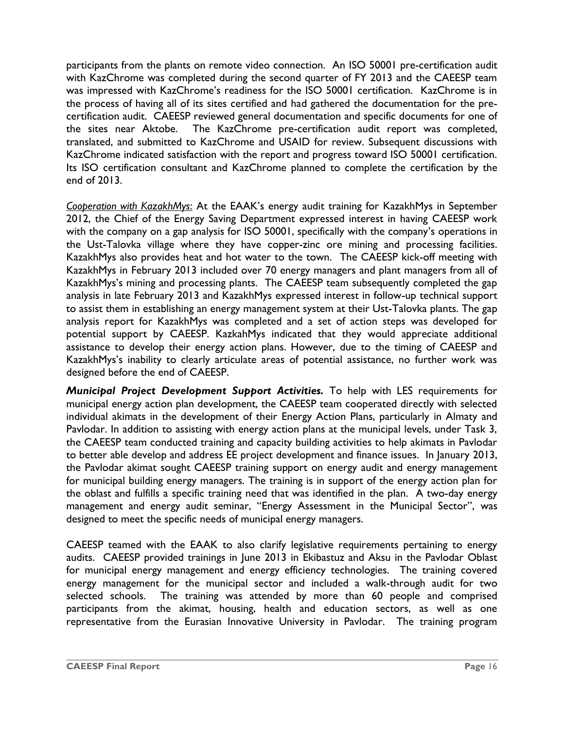participants from the plants on remote video connection. An ISO 50001 pre-certification audit with KazChrome was completed during the second quarter of FY 2013 and the CAEESP team was impressed with KazChrome's readiness for the ISO 50001 certification. KazChrome is in the process of having all of its sites certified and had gathered the documentation for the precertification audit. CAEESP reviewed general documentation and specific documents for one of the sites near Aktobe. The KazChrome pre-certification audit report was completed, translated, and submitted to KazChrome and USAID for review. Subsequent discussions with KazChrome indicated satisfaction with the report and progress toward ISO 50001 certification. Its ISO certification consultant and KazChrome planned to complete the certification by the end of 2013.

*Cooperation with KazakhMys*: At the EAAK's energy audit training for KazakhMys in September 2012, the Chief of the Energy Saving Department expressed interest in having CAEESP work with the company on a gap analysis for ISO 50001, specifically with the company's operations in the Ust-Talovka village where they have copper-zinc ore mining and processing facilities. KazakhMys also provides heat and hot water to the town. The CAEESP kick-off meeting with KazakhMys in February 2013 included over 70 energy managers and plant managers from all of KazakhMys's mining and processing plants. The CAEESP team subsequently completed the gap analysis in late February 2013 and KazakhMys expressed interest in follow-up technical support to assist them in establishing an energy management system at their Ust-Talovka plants. The gap analysis report for KazakhMys was completed and a set of action steps was developed for potential support by CAEESP. KazkahMys indicated that they would appreciate additional assistance to develop their energy action plans. However, due to the timing of CAEESP and KazakhMys's inability to clearly articulate areas of potential assistance, no further work was designed before the end of CAEESP.

*Municipal Project Development Support Activities.* To help with LES requirements for municipal energy action plan development, the CAEESP team cooperated directly with selected individual akimats in the development of their Energy Action Plans, particularly in Almaty and Pavlodar. In addition to assisting with energy action plans at the municipal levels, under Task 3, the CAEESP team conducted training and capacity building activities to help akimats in Pavlodar to better able develop and address EE project development and finance issues. In January 2013, the Pavlodar akimat sought CAEESP training support on energy audit and energy management for municipal building energy managers. The training is in support of the energy action plan for the oblast and fulfills a specific training need that was identified in the plan. A two-day energy management and energy audit seminar, "Energy Assessment in the Municipal Sector", was designed to meet the specific needs of municipal energy managers.

CAEESP teamed with the EAAK to also clarify legislative requirements pertaining to energy audits. CAEESP provided trainings in June 2013 in Ekibastuz and Aksu in the Pavlodar Oblast for municipal energy management and energy efficiency technologies. The training covered energy management for the municipal sector and included a walk-through audit for two selected schools. The training was attended by more than 60 people and comprised participants from the akimat, housing, health and education sectors, as well as one representative from the Eurasian Innovative University in Pavlodar. The training program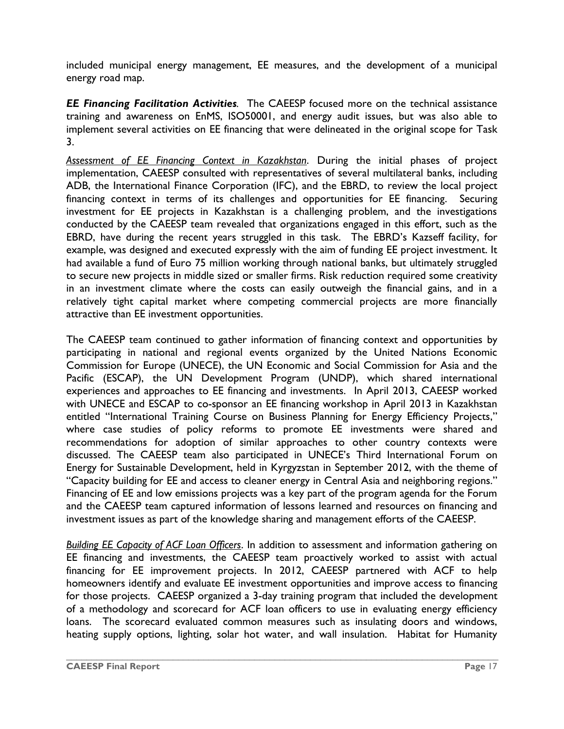included municipal energy management, EE measures, and the development of a municipal energy road map.

*EE Financing Facilitation Activities.* The CAEESP focused more on the technical assistance training and awareness on EnMS, ISO50001, and energy audit issues, but was also able to implement several activities on EE financing that were delineated in the original scope for Task 3.

*Assessment of EE Financing Context in Kazakhstan*. During the initial phases of project implementation, CAEESP consulted with representatives of several multilateral banks, including ADB, the International Finance Corporation (IFC), and the EBRD, to review the local project financing context in terms of its challenges and opportunities for EE financing. Securing investment for EE projects in Kazakhstan is a challenging problem, and the investigations conducted by the CAEESP team revealed that organizations engaged in this effort, such as the EBRD, have during the recent years struggled in this task. The EBRD's Kazseff facility, for example, was designed and executed expressly with the aim of funding EE project investment. It had available a fund of Euro 75 million working through national banks, but ultimately struggled to secure new projects in middle sized or smaller firms. Risk reduction required some creativity in an investment climate where the costs can easily outweigh the financial gains, and in a relatively tight capital market where competing commercial projects are more financially attractive than EE investment opportunities.

The CAEESP team continued to gather information of financing context and opportunities by participating in national and regional events organized by the United Nations Economic Commission for Europe (UNECE), the UN Economic and Social Commission for Asia and the Pacific (ESCAP), the UN Development Program (UNDP), which shared international experiences and approaches to EE financing and investments. In April 2013, CAEESP worked with UNECE and ESCAP to co-sponsor an EE financing workshop in April 2013 in Kazakhstan entitled "International Training Course on Business Planning for Energy Efficiency Projects," where case studies of policy reforms to promote EE investments were shared and recommendations for adoption of similar approaches to other country contexts were discussed. The CAEESP team also participated in UNECE's Third International Forum on Energy for Sustainable Development, held in Kyrgyzstan in September 2012, with the theme of "Capacity building for EE and access to cleaner energy in Central Asia and neighboring regions." Financing of EE and low emissions projects was a key part of the program agenda for the Forum and the CAEESP team captured information of lessons learned and resources on financing and investment issues as part of the knowledge sharing and management efforts of the CAEESP.

*Building EE Capacity of ACF Loan Officers*. In addition to assessment and information gathering on EE financing and investments, the CAEESP team proactively worked to assist with actual financing for EE improvement projects. In 2012, CAEESP partnered with ACF to help homeowners identify and evaluate EE investment opportunities and improve access to financing for those projects. CAEESP organized a 3-day training program that included the development of a methodology and scorecard for ACF loan officers to use in evaluating energy efficiency loans. The scorecard evaluated common measures such as insulating doors and windows, heating supply options, lighting, solar hot water, and wall insulation. Habitat for Humanity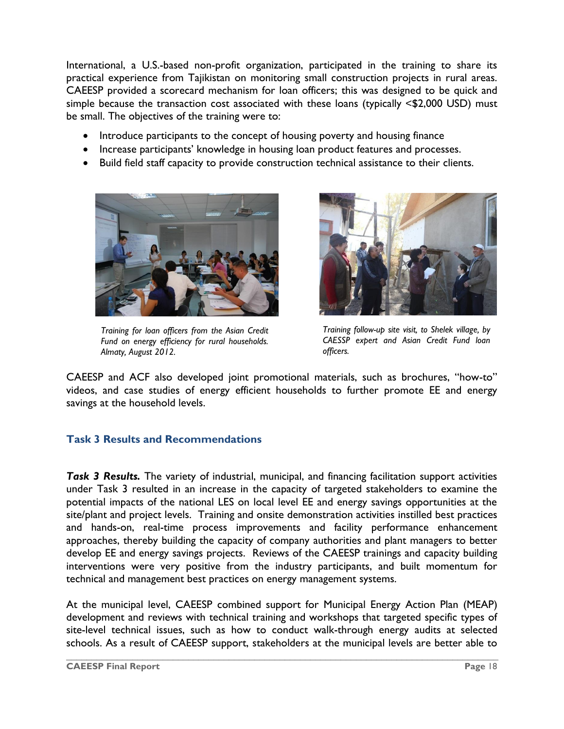International, a U.S.-based non-profit organization, participated in the training to share its practical experience from Tajikistan on monitoring small construction projects in rural areas. CAEESP provided a scorecard mechanism for loan officers; this was designed to be quick and simple because the transaction cost associated with these loans (typically <\$2,000 USD) must be small. The objectives of the training were to:

- Introduce participants to the concept of housing poverty and housing finance
- Increase participants' knowledge in housing loan product features and processes.
- Build field staff capacity to provide construction technical assistance to their clients.



*Training for loan officers from the Asian Credit Fund on energy efficiency for rural households. Almaty, August 2012.*



*Training follow-up site visit, to Shelek village, by CAESSP expert and Asian Credit Fund loan officers.* 

CAEESP and ACF also developed joint promotional materials, such as brochures, "how-to" videos, and case studies of energy efficient households to further promote EE and energy savings at the household levels.

#### **Task 3 Results and Recommendations**

*Task 3 Results.* The variety of industrial, municipal, and financing facilitation support activities under Task 3 resulted in an increase in the capacity of targeted stakeholders to examine the potential impacts of the national LES on local level EE and energy savings opportunities at the site/plant and project levels. Training and onsite demonstration activities instilled best practices and hands-on, real-time process improvements and facility performance enhancement approaches, thereby building the capacity of company authorities and plant managers to better develop EE and energy savings projects. Reviews of the CAEESP trainings and capacity building interventions were very positive from the industry participants, and built momentum for technical and management best practices on energy management systems.

At the municipal level, CAEESP combined support for Municipal Energy Action Plan (MEAP) development and reviews with technical training and workshops that targeted specific types of site-level technical issues, such as how to conduct walk-through energy audits at selected schools. As a result of CAEESP support, stakeholders at the municipal levels are better able to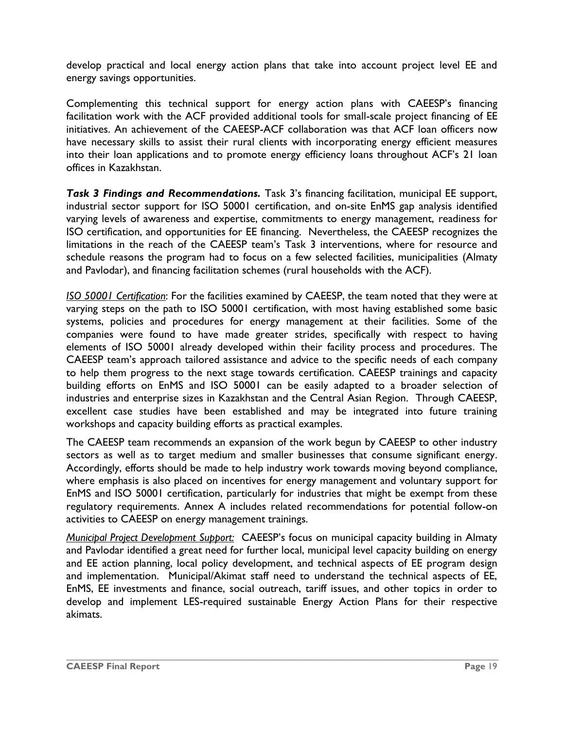develop practical and local energy action plans that take into account project level EE and energy savings opportunities.

Complementing this technical support for energy action plans with CAEESP's financing facilitation work with the ACF provided additional tools for small-scale project financing of EE initiatives. An achievement of the CAEESP-ACF collaboration was that ACF loan officers now have necessary skills to assist their rural clients with incorporating energy efficient measures into their loan applications and to promote energy efficiency loans throughout ACF's 21 loan offices in Kazakhstan.

*Task 3 Findings and Recommendations.* Task 3's financing facilitation, municipal EE support, industrial sector support for ISO 50001 certification, and on-site EnMS gap analysis identified varying levels of awareness and expertise, commitments to energy management, readiness for ISO certification, and opportunities for EE financing. Nevertheless, the CAEESP recognizes the limitations in the reach of the CAEESP team's Task 3 interventions, where for resource and schedule reasons the program had to focus on a few selected facilities, municipalities (Almaty and Pavlodar), and financing facilitation schemes (rural households with the ACF).

*ISO 50001 Certification*: For the facilities examined by CAEESP, the team noted that they were at varying steps on the path to ISO 50001 certification, with most having established some basic systems, policies and procedures for energy management at their facilities. Some of the companies were found to have made greater strides, specifically with respect to having elements of ISO 50001 already developed within their facility process and procedures. The CAEESP team's approach tailored assistance and advice to the specific needs of each company to help them progress to the next stage towards certification. CAEESP trainings and capacity building efforts on EnMS and ISO 50001 can be easily adapted to a broader selection of industries and enterprise sizes in Kazakhstan and the Central Asian Region. Through CAEESP, excellent case studies have been established and may be integrated into future training workshops and capacity building efforts as practical examples.

The CAEESP team recommends an expansion of the work begun by CAEESP to other industry sectors as well as to target medium and smaller businesses that consume significant energy. Accordingly, efforts should be made to help industry work towards moving beyond compliance, where emphasis is also placed on incentives for energy management and voluntary support for EnMS and ISO 50001 certification, particularly for industries that might be exempt from these regulatory requirements. Annex A includes related recommendations for potential follow-on activities to CAEESP on energy management trainings.

*Municipal Project Development Support:* CAEESP's focus on municipal capacity building in Almaty and Pavlodar identified a great need for further local, municipal level capacity building on energy and EE action planning, local policy development, and technical aspects of EE program design and implementation. Municipal/Akimat staff need to understand the technical aspects of EE, EnMS, EE investments and finance, social outreach, tariff issues, and other topics in order to develop and implement LES-required sustainable Energy Action Plans for their respective akimats.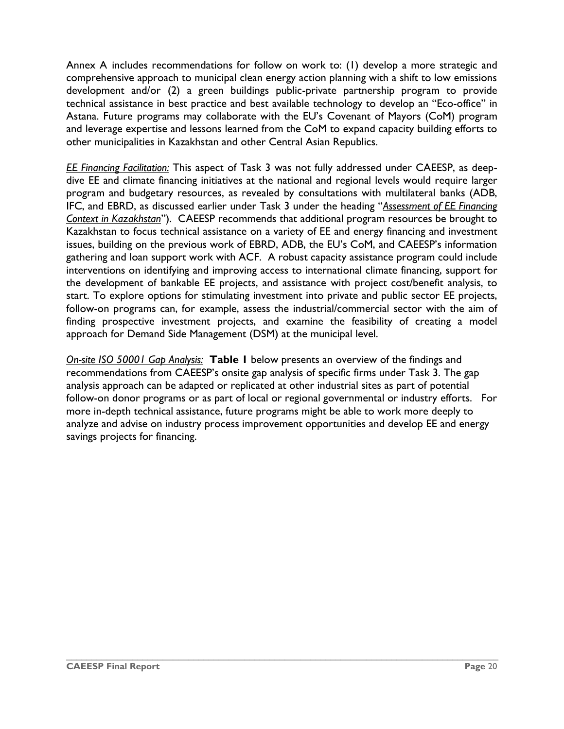Annex A includes recommendations for follow on work to: (1) develop a more strategic and comprehensive approach to municipal clean energy action planning with a shift to low emissions development and/or (2) a green buildings public-private partnership program to provide technical assistance in best practice and best available technology to develop an "Eco-office" in Astana. Future programs may collaborate with the EU's Covenant of Mayors (CoM) program and leverage expertise and lessons learned from the CoM to expand capacity building efforts to other municipalities in Kazakhstan and other Central Asian Republics.

*EE Financing Facilitation:* This aspect of Task 3 was not fully addressed under CAEESP, as deepdive EE and climate financing initiatives at the national and regional levels would require larger program and budgetary resources, as revealed by consultations with multilateral banks (ADB, IFC, and EBRD, as discussed earlier under Task 3 under the heading "*Assessment of EE Financing Context in Kazakhstan*"). CAEESP recommends that additional program resources be brought to Kazakhstan to focus technical assistance on a variety of EE and energy financing and investment issues, building on the previous work of EBRD, ADB, the EU's CoM, and CAEESP's information gathering and loan support work with ACF. A robust capacity assistance program could include interventions on identifying and improving access to international climate financing, support for the development of bankable EE projects, and assistance with project cost/benefit analysis, to start. To explore options for stimulating investment into private and public sector EE projects, follow-on programs can, for example, assess the industrial/commercial sector with the aim of finding prospective investment projects, and examine the feasibility of creating a model approach for Demand Side Management (DSM) at the municipal level.

*On-site ISO 50001 Gap Analysis:* **Table 1** below presents an overview of the findings and recommendations from CAEESP's onsite gap analysis of specific firms under Task 3. The gap analysis approach can be adapted or replicated at other industrial sites as part of potential follow-on donor programs or as part of local or regional governmental or industry efforts. For more in-depth technical assistance, future programs might be able to work more deeply to analyze and advise on industry process improvement opportunities and develop EE and energy savings projects for financing.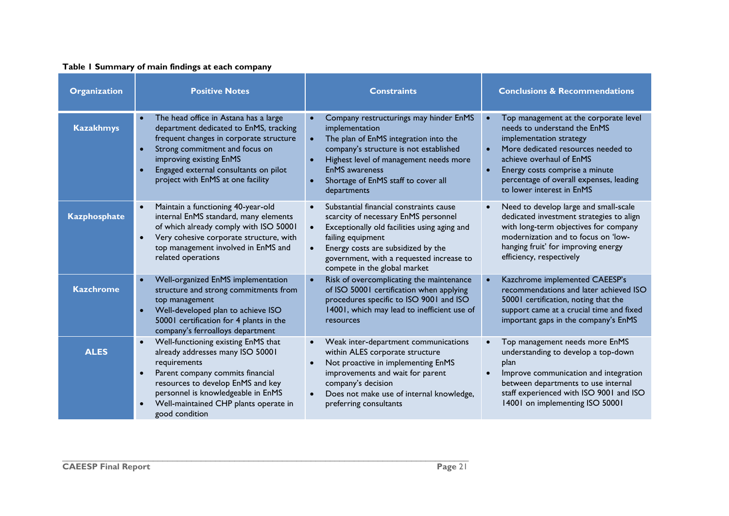#### **Table 1 Summary of main findings at each company**

| <b>Organization</b> | <b>Positive Notes</b>                                                                                                                                                                                                                                                                           | <b>Constraints</b>                                                                                                                                                                                                                                                                               | <b>Conclusions &amp; Recommendations</b>                                                                                                                                                                                                                                                               |
|---------------------|-------------------------------------------------------------------------------------------------------------------------------------------------------------------------------------------------------------------------------------------------------------------------------------------------|--------------------------------------------------------------------------------------------------------------------------------------------------------------------------------------------------------------------------------------------------------------------------------------------------|--------------------------------------------------------------------------------------------------------------------------------------------------------------------------------------------------------------------------------------------------------------------------------------------------------|
| <b>Kazakhmys</b>    | The head office in Astana has a large<br>$\bullet$<br>department dedicated to EnMS, tracking<br>frequent changes in corporate structure<br>Strong commitment and focus on<br>$\bullet$<br>improving existing EnMS<br>Engaged external consultants on pilot<br>project with EnMS at one facility | Company restructurings may hinder EnMS<br>implementation<br>The plan of EnMS integration into the<br>company's structure is not established<br>Highest level of management needs more<br>$\bullet$<br><b>EnMS</b> awareness<br>Shortage of EnMS staff to cover all<br>$\bullet$<br>departments   | Top management at the corporate level<br>$\bullet$<br>needs to understand the EnMS<br>implementation strategy<br>More dedicated resources needed to<br>achieve overhaul of EnMS<br>Energy costs comprise a minute<br>$\bullet$<br>percentage of overall expenses, leading<br>to lower interest in EnMS |
| <b>Kazphosphate</b> | Maintain a functioning 40-year-old<br>$\bullet$<br>internal EnMS standard, many elements<br>of which already comply with ISO 50001<br>Very cohesive corporate structure, with<br>$\bullet$<br>top management involved in EnMS and<br>related operations                                         | Substantial financial constraints cause<br>scarcity of necessary EnMS personnel<br>Exceptionally old facilities using aging and<br>$\bullet$<br>failing equipment<br>Energy costs are subsidized by the<br>$\bullet$<br>government, with a requested increase to<br>compete in the global market | Need to develop large and small-scale<br>dedicated investment strategies to align<br>with long-term objectives for company<br>modernization and to focus on 'low-<br>hanging fruit' for improving energy<br>efficiency, respectively                                                                   |
| <b>Kazchrome</b>    | Well-organized EnMS implementation<br>$\bullet$<br>structure and strong commitments from<br>top management<br>Well-developed plan to achieve ISO<br>$\bullet$<br>50001 certification for 4 plants in the<br>company's ferroalloys department                                                    | Risk of overcomplicating the maintenance<br>of ISO 50001 certification when applying<br>procedures specific to ISO 9001 and ISO<br>14001, which may lead to inefficient use of<br>resources                                                                                                      | Kazchrome implemented CAEESP's<br>recommendations and later achieved ISO<br>50001 certification, noting that the<br>support came at a crucial time and fixed<br>important gaps in the company's EnMS                                                                                                   |
| <b>ALES</b>         | Well-functioning existing EnMS that<br>$\bullet$<br>already addresses many ISO 50001<br>requirements<br>Parent company commits financial<br>$\bullet$<br>resources to develop EnMS and key<br>personnel is knowledgeable in EnMS<br>Well-maintained CHP plants operate in<br>good condition     | Weak inter-department communications<br>within ALES corporate structure<br>Not proactive in implementing EnMS<br>improvements and wait for parent<br>company's decision<br>Does not make use of internal knowledge,<br>$\bullet$<br>preferring consultants                                       | Top management needs more EnMS<br>$\bullet$<br>understanding to develop a top-down<br>plan<br>Improve communication and integration<br>between departments to use internal<br>staff experienced with ISO 9001 and ISO<br>14001 on implementing ISO 50001                                               |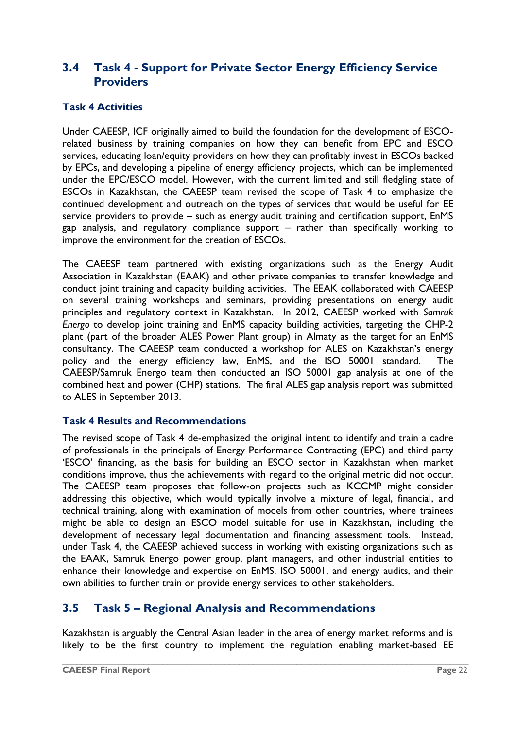### <span id="page-25-0"></span>**3.4 Task 4 - Support for Private Sector Energy Efficiency Service Providers**

#### **Task 4 Activities**

Under CAEESP, ICF originally aimed to build the foundation for the development of ESCOrelated business by training companies on how they can benefit from EPC and ESCO services, educating loan/equity providers on how they can profitably invest in ESCOs backed by EPCs, and developing a pipeline of energy efficiency projects, which can be implemented under the EPC/ESCO model. However, with the current limited and still fledgling state of ESCOs in Kazakhstan, the CAEESP team revised the scope of Task 4 to emphasize the continued development and outreach on the types of services that would be useful for EE service providers to provide – such as energy audit training and certification support, EnMS gap analysis, and regulatory compliance support – rather than specifically working to improve the environment for the creation of ESCOs.

The CAEESP team partnered with existing organizations such as the Energy Audit Association in Kazakhstan (EAAK) and other private companies to transfer knowledge and conduct joint training and capacity building activities. The EEAK collaborated with CAEESP on several training workshops and seminars, providing presentations on energy audit principles and regulatory context in Kazakhstan. In 2012, CAEESP worked with *Samruk Energo* to develop joint training and EnMS capacity building activities, targeting the CHP-2 plant (part of the broader ALES Power Plant group) in Almaty as the target for an EnMS consultancy. The CAEESP team conducted a workshop for ALES on Kazakhstan's energy policy and the energy efficiency law, EnMS, and the ISO 50001 standard. The CAEESP/Samruk Energo team then conducted an ISO 50001 gap analysis at one of the combined heat and power (CHP) stations. The final ALES gap analysis report was submitted to ALES in September 2013.

#### **Task 4 Results and Recommendations**

The revised scope of Task 4 de-emphasized the original intent to identify and train a cadre of professionals in the principals of Energy Performance Contracting (EPC) and third party 'ESCO' financing, as the basis for building an ESCO sector in Kazakhstan when market conditions improve, thus the achievements with regard to the original metric did not occur. The CAEESP team proposes that follow-on projects such as KCCMP might consider addressing this objective, which would typically involve a mixture of legal, financial, and technical training, along with examination of models from other countries, where trainees might be able to design an ESCO model suitable for use in Kazakhstan, including the development of necessary legal documentation and financing assessment tools. Instead, under Task 4, the CAEESP achieved success in working with existing organizations such as the EAAK, Samruk Energo power group, plant managers, and other industrial entities to enhance their knowledge and expertise on EnMS, ISO 50001, and energy audits, and their own abilities to further train or provide energy services to other stakeholders.

### <span id="page-25-1"></span>**3.5 Task 5 – Regional Analysis and Recommendations**

Kazakhstan is arguably the Central Asian leader in the area of energy market reforms and is likely to be the first country to implement the regulation enabling market-based EE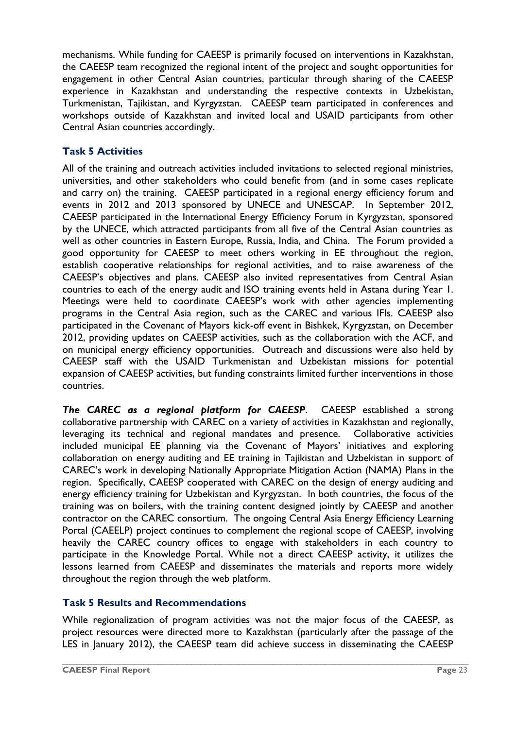mechanisms. While funding for CAEESP is primarily focused on interventions in Kazakhstan, the CAEESP team recognized the regional intent of the project and sought opportunities for engagement in other Central Asian countries, particular through sharing of the CAEESP experience in Kazakhstan and understanding the respective contexts in Uzbekistan, Turkmenistan, Tajikistan, and Kyrgyzstan. CAEESP team participated in conferences and workshops outside of Kazakhstan and invited local and USAID participants from other Central Asian countries accordingly.

### **Task 5 Activities**

All of the training and outreach activities included invitations to selected regional ministries, universities, and other stakeholders who could benefit from (and in some cases replicate and carry on) the training. CAEESP participated in a regional energy efficiency forum and events in 2012 and 2013 sponsored by UNECE and UNESCAP. In September 2012, CAEESP participated in the International Energy Efficiency Forum in Kyrgyzstan, sponsored by the UNECE, which attracted participants from all five of the Central Asian countries as well as other countries in Eastern Europe, Russia, India, and China. The Forum provided a good opportunity for CAEESP to meet others working in EE throughout the region, establish cooperative relationships for regional activities, and to raise awareness of the CAEESP's objectives and plans. CAEESP also invited representatives from Central Asian countries to each of the energy audit and ISO training events held in Astana during Year 1. Meetings were held to coordinate CAEESP's work with other agencies implementing programs in the Central Asia region, such as the CAREC and various IFIs. CAEESP also participated in the Covenant of Mayors kick-off event in Bishkek, Kyrgyzstan, on December 2012, providing updates on CAEESP activities, such as the collaboration with the ACF, and on municipal energy efficiency opportunities. Outreach and discussions were also held by CAEESP staff with the USAID Turkmenistan and Uzbekistan missions for potential expansion of CAEESP activities, but funding constraints limited further interventions in those countries.

*The CAREC as a regional platform for CAEESP*. CAEESP established a strong collaborative partnership with CAREC on a variety of activities in Kazakhstan and regionally, leveraging its technical and regional mandates and presence. Collaborative activities included municipal EE planning via the Covenant of Mayors' initiatives and exploring collaboration on energy auditing and EE training in Tajikistan and Uzbekistan in support of CAREC's work in developing Nationally Appropriate Mitigation Action (NAMA) Plans in the region. Specifically, CAEESP cooperated with CAREC on the design of energy auditing and energy efficiency training for Uzbekistan and Kyrgyzstan. In both countries, the focus of the training was on boilers, with the training content designed jointly by CAEESP and another contractor on the CAREC consortium. The ongoing Central Asia Energy Efficiency Learning Portal (CAEELP) project continues to complement the regional scope of CAEESP, involving heavily the CAREC country offices to engage with stakeholders in each country to participate in the Knowledge Portal. While not a direct CAEESP activity, it utilizes the lessons learned from CAEESP and disseminates the materials and reports more widely throughout the region through the web platform.

#### **Task 5 Results and Recommendations**

While regionalization of program activities was not the major focus of the CAEESP, as project resources were directed more to Kazakhstan (particularly after the passage of the LES in January 2012), the CAEESP team did achieve success in disseminating the CAEESP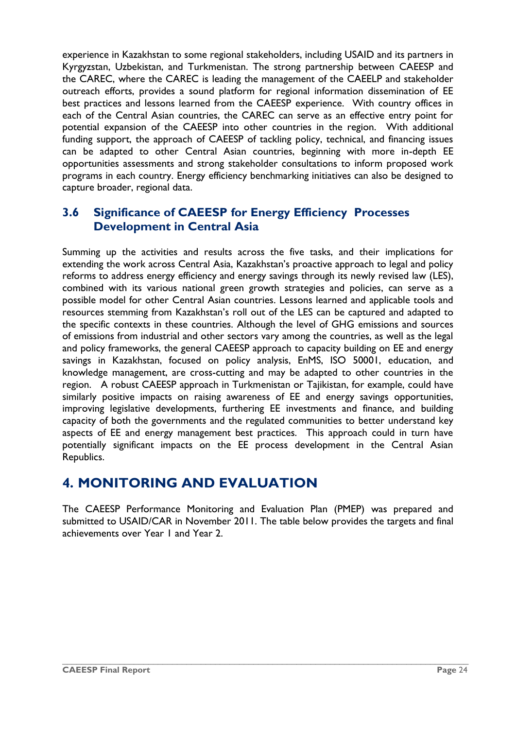experience in Kazakhstan to some regional stakeholders, including USAID and its partners in Kyrgyzstan, Uzbekistan, and Turkmenistan. The strong partnership between CAEESP and the CAREC, where the CAREC is leading the management of the CAEELP and stakeholder outreach efforts, provides a sound platform for regional information dissemination of EE best practices and lessons learned from the CAEESP experience. With country offices in each of the Central Asian countries, the CAREC can serve as an effective entry point for potential expansion of the CAEESP into other countries in the region. With additional funding support, the approach of CAEESP of tackling policy, technical, and financing issues can be adapted to other Central Asian countries, beginning with more in-depth EE opportunities assessments and strong stakeholder consultations to inform proposed work programs in each country. Energy efficiency benchmarking initiatives can also be designed to capture broader, regional data.

### <span id="page-27-0"></span>**3.6 Significance of CAEESP for Energy Efficiency Processes Development in Central Asia**

Summing up the activities and results across the five tasks, and their implications for extending the work across Central Asia, Kazakhstan's proactive approach to legal and policy reforms to address energy efficiency and energy savings through its newly revised law (LES), combined with its various national green growth strategies and policies, can serve as a possible model for other Central Asian countries. Lessons learned and applicable tools and resources stemming from Kazakhstan's roll out of the LES can be captured and adapted to the specific contexts in these countries. Although the level of GHG emissions and sources of emissions from industrial and other sectors vary among the countries, as well as the legal and policy frameworks, the general CAEESP approach to capacity building on EE and energy savings in Kazakhstan, focused on policy analysis, EnMS, ISO 50001, education, and knowledge management, are cross-cutting and may be adapted to other countries in the region. A robust CAEESP approach in Turkmenistan or Tajikistan, for example, could have similarly positive impacts on raising awareness of EE and energy savings opportunities, improving legislative developments, furthering EE investments and finance, and building capacity of both the governments and the regulated communities to better understand key aspects of EE and energy management best practices. This approach could in turn have potentially significant impacts on the EE process development in the Central Asian Republics.

## <span id="page-27-1"></span>**4. MONITORING AND EVALUATION**

The CAEESP Performance Monitoring and Evaluation Plan (PMEP) was prepared and submitted to USAID/CAR in November 2011. The table below provides the targets and final achievements over Year 1 and Year 2.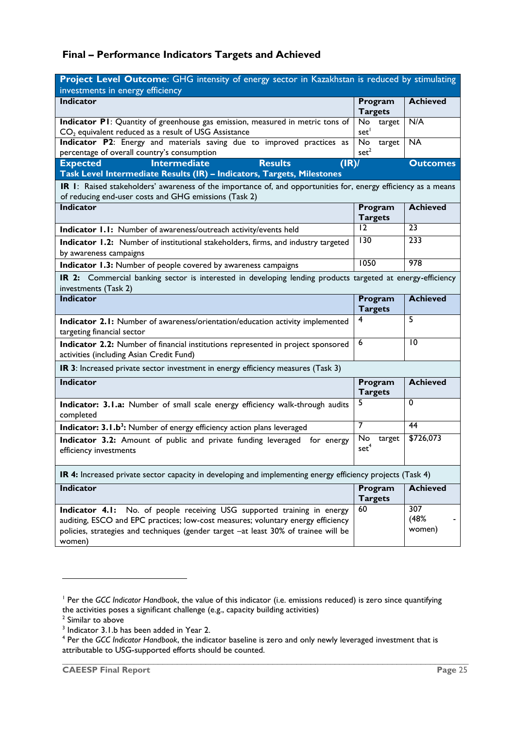### **Final – Performance Indicators Targets and Achieved**

| Project Level Outcome: GHG intensity of energy sector in Kazakhstan is reduced by stimulating<br>investments in energy efficiency                                                                                                                               |                                  |                       |  |
|-----------------------------------------------------------------------------------------------------------------------------------------------------------------------------------------------------------------------------------------------------------------|----------------------------------|-----------------------|--|
| <b>Indicator</b>                                                                                                                                                                                                                                                | Program<br><b>Targets</b>        | <b>Achieved</b>       |  |
| Indicator P1: Quantity of greenhouse gas emission, measured in metric tons of<br>$CO2$ equivalent reduced as a result of USG Assistance                                                                                                                         | No<br>target<br>set <sup>1</sup> | N/A                   |  |
| Indicator P2: Energy and materials saving due to improved practices as<br>percentage of overall country's consumption                                                                                                                                           | No<br>target<br>set <sup>2</sup> | <b>NA</b>             |  |
| <b>Expected</b><br><b>Intermediate</b><br><b>Results</b><br>( R )<br>Task Level Intermediate Results (IR) - Indicators, Targets, Milestones                                                                                                                     |                                  | <b>Outcomes</b>       |  |
| IR I: Raised stakeholders' awareness of the importance of, and opportunities for, energy efficiency as a means<br>of reducing end-user costs and GHG emissions (Task 2)                                                                                         |                                  |                       |  |
| <b>Indicator</b>                                                                                                                                                                                                                                                | Program<br><b>Targets</b>        | <b>Achieved</b>       |  |
| Indicator I.I: Number of awareness/outreach activity/events held                                                                                                                                                                                                | 12                               | 23                    |  |
| Indicator 1.2: Number of institutional stakeholders, firms, and industry targeted<br>by awareness campaigns                                                                                                                                                     | 130                              | 233                   |  |
| Indicator 1.3: Number of people covered by awareness campaigns                                                                                                                                                                                                  | 1050                             | $\overline{978}$      |  |
| IR 2: Commercial banking sector is interested in developing lending products targeted at energy-efficiency<br>investments (Task 2)                                                                                                                              |                                  |                       |  |
| <b>Indicator</b>                                                                                                                                                                                                                                                | Program<br><b>Targets</b>        | <b>Achieved</b>       |  |
| Indicator 2.1: Number of awareness/orientation/education activity implemented<br>targeting financial sector                                                                                                                                                     | 4                                | 5                     |  |
| Indicator 2.2: Number of financial institutions represented in project sponsored<br>activities (including Asian Credit Fund)                                                                                                                                    | 6                                | 10                    |  |
| IR 3: Increased private sector investment in energy efficiency measures (Task 3)                                                                                                                                                                                |                                  |                       |  |
| <b>Indicator</b>                                                                                                                                                                                                                                                | Program<br><b>Targets</b>        | <b>Achieved</b>       |  |
| Indicator: 3.1.a: Number of small scale energy efficiency walk-through audits<br>completed                                                                                                                                                                      | 5                                | $\Omega$              |  |
| <b>Indicator: 3.1.b<sup>3</sup>:</b> Number of energy efficiency action plans leveraged                                                                                                                                                                         | $\overline{7}$                   | 44                    |  |
| Indicator 3.2: Amount of public and private funding leveraged for energy<br>efficiency investments                                                                                                                                                              | No<br>target<br>set <sup>4</sup> | \$726,073             |  |
| IR 4: Increased private sector capacity in developing and implementing energy efficiency projects (Task 4)                                                                                                                                                      |                                  |                       |  |
| Indicator                                                                                                                                                                                                                                                       | Program<br><b>Targets</b>        | <b>Achieved</b>       |  |
| No. of people receiving USG supported training in energy<br>Indicator 4.1:<br>auditing, ESCO and EPC practices; low-cost measures; voluntary energy efficiency<br>policies, strategies and techniques (gender target -at least 30% of trainee will be<br>women) | 60                               | 307<br>(48%<br>women) |  |

1

<sup>&</sup>lt;sup>1</sup> Per the GCC Indicator Handbook, the value of this indicator (i.e. emissions reduced) is zero since quantifying the activities poses a significant challenge (e.g., capacity building activities)<br><sup>2</sup> Similar to above

<sup>&</sup>lt;sup>3</sup> Indicator 3.1.b has been added in Year 2.

<sup>4</sup> Per the *GCC Indicator Handbook*, the indicator baseline is zero and only newly leveraged investment that is attributable to USG-supported efforts should be counted.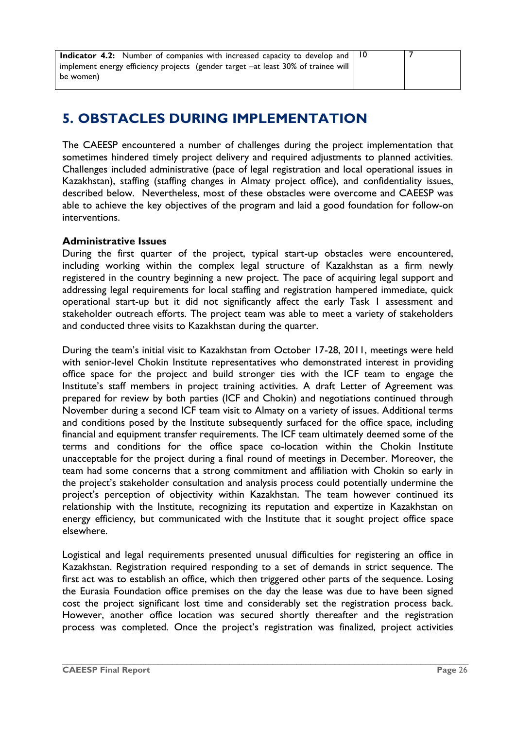<span id="page-29-0"></span>

| <b>Indicator 4.2:</b> Number of companies with increased capacity to develop and $\vert$ 10 |  |
|---------------------------------------------------------------------------------------------|--|
| implement energy efficiency projects (gender target -at least 30% of trainee will           |  |
| be women)                                                                                   |  |

## **5. OBSTACLES DURING IMPLEMENTATION**

The CAEESP encountered a number of challenges during the project implementation that sometimes hindered timely project delivery and required adjustments to planned activities. Challenges included administrative (pace of legal registration and local operational issues in Kazakhstan), staffing (staffing changes in Almaty project office), and confidentiality issues, described below. Nevertheless, most of these obstacles were overcome and CAEESP was able to achieve the key objectives of the program and laid a good foundation for follow-on interventions.

#### **Administrative Issues**

During the first quarter of the project, typical start-up obstacles were encountered, including working within the complex legal structure of Kazakhstan as a firm newly registered in the country beginning a new project. The pace of acquiring legal support and addressing legal requirements for local staffing and registration hampered immediate, quick operational start-up but it did not significantly affect the early Task 1 assessment and stakeholder outreach efforts. The project team was able to meet a variety of stakeholders and conducted three visits to Kazakhstan during the quarter.

During the team's initial visit to Kazakhstan from October 17-28, 2011, meetings were held with senior-level Chokin Institute representatives who demonstrated interest in providing office space for the project and build stronger ties with the ICF team to engage the Institute's staff members in project training activities. A draft Letter of Agreement was prepared for review by both parties (ICF and Chokin) and negotiations continued through November during a second ICF team visit to Almaty on a variety of issues. Additional terms and conditions posed by the Institute subsequently surfaced for the office space, including financial and equipment transfer requirements. The ICF team ultimately deemed some of the terms and conditions for the office space co-location within the Chokin Institute unacceptable for the project during a final round of meetings in December. Moreover, the team had some concerns that a strong commitment and affiliation with Chokin so early in the project's stakeholder consultation and analysis process could potentially undermine the project's perception of objectivity within Kazakhstan. The team however continued its relationship with the Institute, recognizing its reputation and expertize in Kazakhstan on energy efficiency, but communicated with the Institute that it sought project office space elsewhere.

Logistical and legal requirements presented unusual difficulties for registering an office in Kazakhstan. Registration required responding to a set of demands in strict sequence. The first act was to establish an office, which then triggered other parts of the sequence. Losing the Eurasia Foundation office premises on the day the lease was due to have been signed cost the project significant lost time and considerably set the registration process back. However, another office location was secured shortly thereafter and the registration process was completed. Once the project's registration was finalized, project activities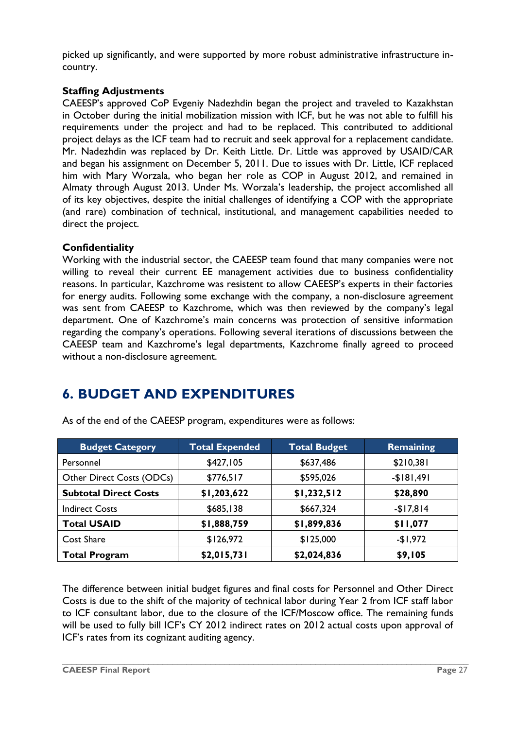picked up significantly, and were supported by more robust administrative infrastructure incountry.

#### **Staffing Adjustments**

CAEESP's approved CoP Evgeniy Nadezhdin began the project and traveled to Kazakhstan in October during the initial mobilization mission with ICF, but he was not able to fulfill his requirements under the project and had to be replaced. This contributed to additional project delays as the ICF team had to recruit and seek approval for a replacement candidate. Mr. Nadezhdin was replaced by Dr. Keith Little. Dr. Little was approved by USAID/CAR and began his assignment on December 5, 2011. Due to issues with Dr. Little, ICF replaced him with Mary Worzala, who began her role as COP in August 2012, and remained in Almaty through August 2013. Under Ms. Worzala's leadership, the project accomlished all of its key objectives, despite the initial challenges of identifying a COP with the appropriate (and rare) combination of technical, institutional, and management capabilities needed to direct the project.

#### **Confidentiality**

Working with the industrial sector, the CAEESP team found that many companies were not willing to reveal their current EE management activities due to business confidentiality reasons. In particular, Kazchrome was resistent to allow CAEESP's experts in their factories for energy audits. Following some exchange with the company, a non-disclosure agreement was sent from CAEESP to Kazchrome, which was then reviewed by the company's legal department. One of Kazchrome's main concerns was protection of sensitive information regarding the company's operations. Following several iterations of discussions between the CAEESP team and Kazchrome's legal departments, Kazchrome finally agreed to proceed without a non-disclosure agreement.

## <span id="page-30-0"></span>**6. BUDGET AND EXPENDITURES**

| <b>Budget Category</b>       | <b>Total Expended</b> | <b>Total Budget</b> | <b>Remaining</b> |
|------------------------------|-----------------------|---------------------|------------------|
| Personnel                    | \$427,105             | \$637,486           | \$210,381        |
| Other Direct Costs (ODCs)    | \$776,517             | \$595,026           | $-$181,491$      |
| <b>Subtotal Direct Costs</b> | \$1,203,622           | \$1,232,512         | \$28,890         |
| <b>Indirect Costs</b>        | \$685,138             | \$667,324           | $-$17,814$       |
| <b>Total USAID</b>           | \$1,888,759           | \$1,899,836         | \$11,077         |
| <b>Cost Share</b>            | \$126,972             | \$125,000           | $-$1,972$        |
| <b>Total Program</b>         | \$2,015,731           | \$2,024,836         | \$9,105          |

As of the end of the CAEESP program, expenditures were as follows:

The difference between initial budget figures and final costs for Personnel and Other Direct Costs is due to the shift of the majority of technical labor during Year 2 from ICF staff labor to ICF consultant labor, due to the closure of the ICF/Moscow office. The remaining funds will be used to fully bill ICF's CY 2012 indirect rates on 2012 actual costs upon approval of ICF's rates from its cognizant auditing agency.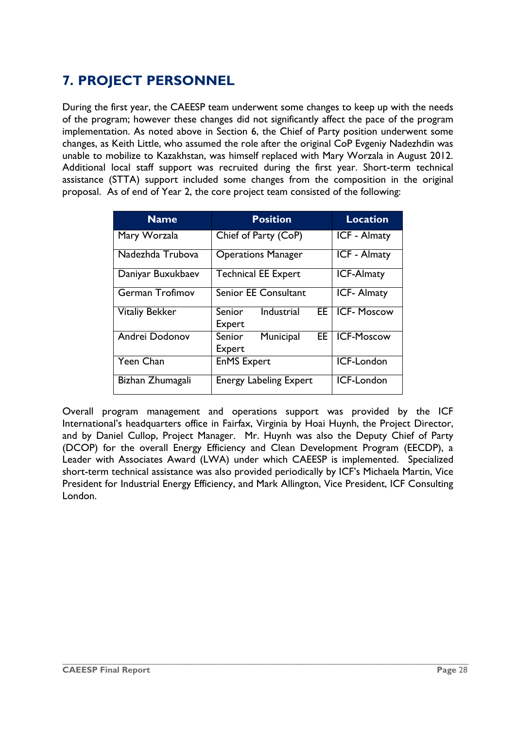## <span id="page-31-0"></span>**7. PROJECT PERSONNEL**

During the first year, the CAEESP team underwent some changes to keep up with the needs of the program; however these changes did not significantly affect the pace of the program implementation. As noted above in Section 6, the Chief of Party position underwent some changes, as Keith Little, who assumed the role after the original CoP Evgeniy Nadezhdin was unable to mobilize to Kazakhstan, was himself replaced with Mary Worzala in August 2012. Additional local staff support was recruited during the first year. Short-term technical assistance (STTA) support included some changes from the composition in the original proposal. As of end of Year 2, the core project team consisted of the following:

| <b>Name</b>           | <b>Position</b>                             | <b>Location</b>     |
|-----------------------|---------------------------------------------|---------------------|
| Mary Worzala          | Chief of Party (CoP)                        | <b>ICF - Almaty</b> |
| Nadezhda Trubova      | <b>Operations Manager</b>                   | <b>ICF - Almaty</b> |
| Daniyar Buxukbaev     | <b>Technical EE Expert</b>                  | <b>ICF-Almaty</b>   |
| German Trofimov       | Senior EE Consultant                        | <b>ICF-Almaty</b>   |
| <b>Vitaliy Bekker</b> | Industrial<br>EE.<br>Senior<br>Expert       | <b>ICF-Moscow</b>   |
| Andrei Dodonov        | EE.<br><b>Senior</b><br>Municipal<br>Expert | <b>ICF-Moscow</b>   |
| Yeen Chan             | <b>EnMS Expert</b>                          | ICF-London          |
| Bizhan Zhumagali      | <b>Energy Labeling Expert</b>               | ICF-London          |

Overall program management and operations support was provided by the ICF International's headquarters office in Fairfax, Virginia by Hoai Huynh, the Project Director, and by Daniel Cullop, Project Manager. Mr. Huynh was also the Deputy Chief of Party (DCOP) for the overall Energy Efficiency and Clean Development Program (EECDP), a Leader with Associates Award (LWA) under which CAEESP is implemented. Specialized short-term technical assistance was also provided periodically by ICF's Michaela Martin, Vice President for Industrial Energy Efficiency, and Mark Allington, Vice President, ICF Consulting London.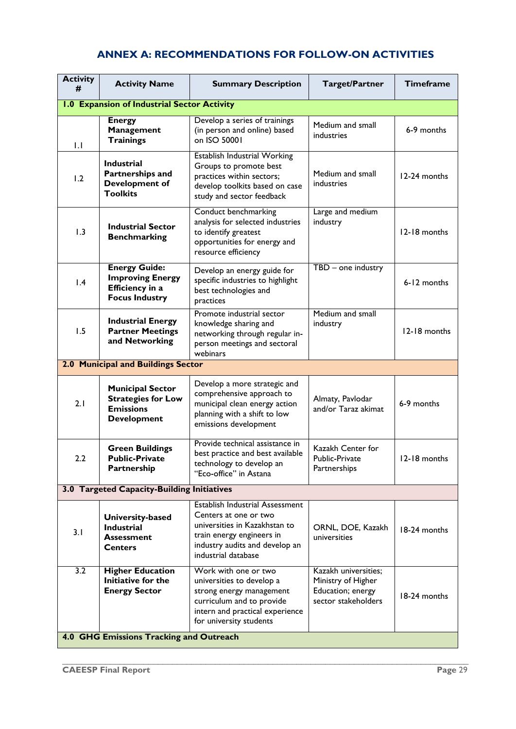## <span id="page-32-0"></span>**ANNEX A: RECOMMENDATIONS FOR FOLLOW-ON ACTIVITIES**

| <b>Activity</b><br>#                        | <b>Activity Name</b>                                                                           | <b>Summary Description</b>                                                                                                                                                      | <b>Target/Partner</b>                                                                  | <b>Timeframe</b> |  |  |
|---------------------------------------------|------------------------------------------------------------------------------------------------|---------------------------------------------------------------------------------------------------------------------------------------------------------------------------------|----------------------------------------------------------------------------------------|------------------|--|--|
| 1.0 Expansion of Industrial Sector Activity |                                                                                                |                                                                                                                                                                                 |                                                                                        |                  |  |  |
| $\mathsf{L}$                                | <b>Energy</b><br><b>Management</b><br><b>Trainings</b>                                         | Develop a series of trainings<br>(in person and online) based<br>on ISO 50001                                                                                                   | Medium and small<br>industries                                                         | 6-9 months       |  |  |
| 1.2                                         | <b>Industrial</b><br>Partnerships and<br>Development of<br><b>Toolkits</b>                     | Establish Industrial Working<br>Groups to promote best<br>practices within sectors;<br>develop toolkits based on case<br>study and sector feedback                              | Medium and small<br>industries                                                         | 12-24 months     |  |  |
| 1.3                                         | <b>Industrial Sector</b><br><b>Benchmarking</b>                                                | Conduct benchmarking<br>analysis for selected industries<br>to identify greatest<br>opportunities for energy and<br>resource efficiency                                         | Large and medium<br>industry                                                           | 12-18 months     |  |  |
| 1.4                                         | <b>Energy Guide:</b><br><b>Improving Energy</b><br>Efficiency in a<br><b>Focus Industry</b>    | Develop an energy guide for<br>specific industries to highlight<br>best technologies and<br>practices                                                                           | TBD - one industry                                                                     | 6-12 months      |  |  |
| 1.5                                         | <b>Industrial Energy</b><br><b>Partner Meetings</b><br>and Networking                          | Promote industrial sector<br>knowledge sharing and<br>networking through regular in-<br>person meetings and sectoral<br>webinars                                                | Medium and small<br>industry                                                           | 12-18 months     |  |  |
|                                             | 2.0 Municipal and Buildings Sector                                                             |                                                                                                                                                                                 |                                                                                        |                  |  |  |
| 2.1                                         | <b>Municipal Sector</b><br><b>Strategies for Low</b><br><b>Emissions</b><br><b>Development</b> | Develop a more strategic and<br>comprehensive approach to<br>municipal clean energy action<br>planning with a shift to low<br>emissions development                             | Almaty, Pavlodar<br>and/or Taraz akimat                                                | 6-9 months       |  |  |
| 2.2                                         | <b>Green Buildings</b><br><b>Public-Private</b><br>Partnership                                 | Provide technical assistance in<br>best practice and best available<br>technology to develop an<br>"Eco-office" in Astana                                                       | Kazakh Center for<br>Public-Private<br>Partnerships                                    | 12-18 months     |  |  |
| 3.0 Targeted Capacity-Building Initiatives  |                                                                                                |                                                                                                                                                                                 |                                                                                        |                  |  |  |
| 3.1                                         | University-based<br><b>Industrial</b><br><b>Assessment</b><br><b>Centers</b>                   | Establish Industrial Assessment<br>Centers at one or two<br>universities in Kazakhstan to<br>train energy engineers in<br>industry audits and develop an<br>industrial database | ORNL, DOE, Kazakh<br>universities                                                      | 18-24 months     |  |  |
| $\overline{3.2}$                            | <b>Higher Education</b><br>Initiative for the<br><b>Energy Sector</b>                          | Work with one or two<br>universities to develop a<br>strong energy management<br>curriculum and to provide<br>intern and practical experience<br>for university students        | Kazakh universities;<br>Ministry of Higher<br>Education; energy<br>sector stakeholders | 18-24 months     |  |  |
| 4.0 GHG Emissions Tracking and Outreach     |                                                                                                |                                                                                                                                                                                 |                                                                                        |                  |  |  |